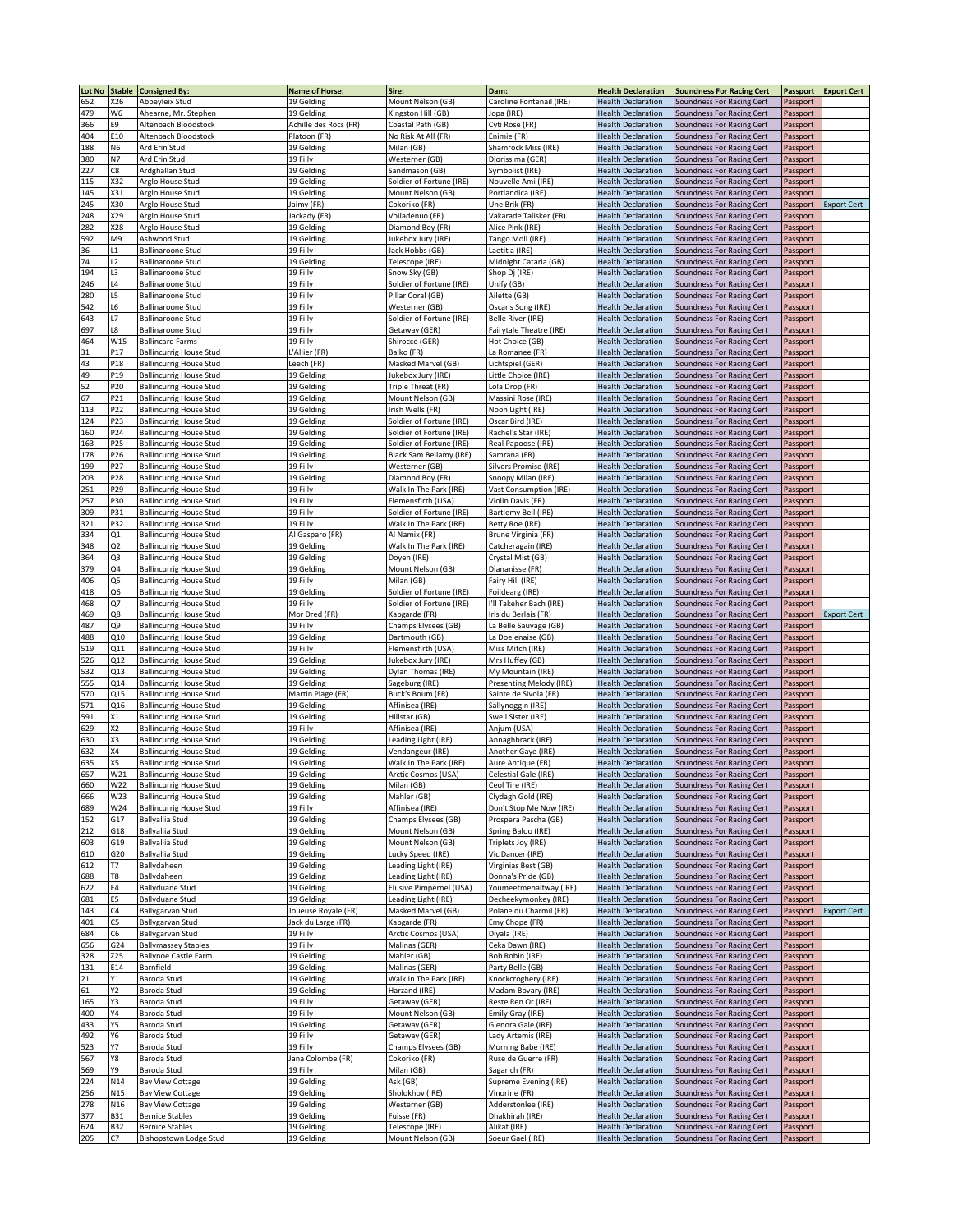|               |                                |                                |                       |                          |                               | <b>Health Declaration</b> |                                  |                 |                    |
|---------------|--------------------------------|--------------------------------|-----------------------|--------------------------|-------------------------------|---------------------------|----------------------------------|-----------------|--------------------|
| <b>Lot No</b> | <b>Stable</b><br><b>&lt;26</b> | <b>Consigned By:</b>           | Name of Horse:        | Sire:                    | Dam:                          |                           | <b>Soundness For Racing Cert</b> | <b>Passport</b> | <b>Export Cert</b> |
| 652           |                                | Abbeyleix Stud                 | 19 Gelding            | Mount Nelson (GB)        | Caroline Fontenail (IRE)      | <b>Health Declaration</b> | Soundness For Racing Cert        | Passport        |                    |
| 479           | W6                             | Ahearne, Mr. Stephen           | 19 Gelding            | Kingston Hill (GB)       | Jopa (IRE)                    | <b>Health Declaration</b> | Soundness For Racing Cert        | Passport        |                    |
| 366           | E9                             | Altenbach Bloodstock           | Achille des Rocs (FR) | Coastal Path (GB)        | Cyti Rose (FR)                | <b>Health Declaration</b> | Soundness For Racing Cert        | Passport        |                    |
| 404           | E10                            | Altenbach Bloodstock           | Platoon (FR)          | No Risk At All (FR)      | Enimie (FR)                   | <b>Health Declaration</b> | Soundness For Racing Cert        | Passport        |                    |
| 188           | N6                             | Ard Erin Stud                  | 19 Gelding            | Milan (GB)               | Shamrock Miss (IRE)           | <b>Health Declaration</b> | Soundness For Racing Cert        | Passport        |                    |
| 380           | N7                             | Ard Erin Stud                  | 19 Filly              | Westerner (GB)           | Diorissima (GER)              | <b>Health Declaration</b> | Soundness For Racing Cert        | Passport        |                    |
| 227           | C8                             | Ardghallan Stud                | 19 Gelding            | Sandmason (GB)           | Symbolist (IRE)               | <b>Health Declaration</b> | Soundness For Racing Cert        | Passport        |                    |
| 115           | X32                            | Arglo House Stud               | 19 Gelding            | Soldier of Fortune (IRE) | Nouvelle Ami (IRE)            | <b>Health Declaration</b> | Soundness For Racing Cert        | Passport        |                    |
| 145           | X31                            | Arglo House Stud               | 19 Gelding            | Mount Nelson (GB)        | Portlandica (IRE)             | <b>Health Declaration</b> | Soundness For Racing Cert        | Passport        |                    |
| 245           | X30                            | Arglo House Stud               | Jaimy (FR)            | Cokoriko (FR)            | Une Brik (FR)                 | <b>Health Declaration</b> | Soundness For Racing Cert        | Passport        | <b>Export Cert</b> |
| 248           | X29                            | Arglo House Stud               | Jackady (FR)          | Voiladenuo (FR)          | Vakarade Talisker (FR)        | <b>Health Declaration</b> | Soundness For Racing Cert        | Passport        |                    |
|               | X28                            |                                |                       | Diamond Boy (FR)         | Alice Pink (IRE)              |                           |                                  |                 |                    |
| 282           |                                | Arglo House Stud               | 19 Gelding            |                          |                               | <b>Health Declaration</b> | Soundness For Racing Cert        | Passport        |                    |
| 592           | M9                             | Ashwood Stud                   | 19 Gelding            | Jukebox Jury (IRE)       | Tango Moll (IRE)              | <b>Health Declaration</b> | Soundness For Racing Cert        | Passport        |                    |
| 36            | $\overline{1}$                 | Ballinaroone Stud              | 19 Filly              | lack Hobbs (GB)          | Laetitia (IRE)                | <b>Health Declaration</b> | Soundness For Racing Cert        | Passport        |                    |
| 74            | L2                             | Ballinaroone Stud              | 19 Gelding            | Telescope (IRE)          | Midnight Cataria (GB)         | <b>Health Declaration</b> | Soundness For Racing Cert        | Passport        |                    |
| 194           | L3                             | <b>Ballinaroone Stud</b>       | 19 Filly              | Snow Sky (GB)            | Shop Dj (IRE)                 | <b>Health Declaration</b> | Soundness For Racing Cert        | Passport        |                    |
| 246           | L4                             | <b>Ballinaroone Stud</b>       | 19 Filly              | Soldier of Fortune (IRE) | Unify (GB)                    | <b>Health Declaration</b> | Soundness For Racing Cert        | Passport        |                    |
| 280           | L5                             | <b>Ballinaroone Stud</b>       | 19 Filly              | Pillar Coral (GB)        | Ailette (GB)                  | <b>Health Declaration</b> | Soundness For Racing Cert        | Passport        |                    |
| 542           | L6                             | <b>Ballinaroone Stud</b>       | 19 Filly              | Westerner (GB)           | Oscar's Song (IRE)            | <b>Health Declaration</b> | Soundness For Racing Cert        | Passport        |                    |
| 643           | L7                             | <b>Ballinaroone Stud</b>       | 19 Filly              | Soldier of Fortune (IRE) | Belle River (IRE)             | <b>Health Declaration</b> | Soundness For Racing Cert        | Passport        |                    |
| 697           | L8                             | <b>Ballinaroone Stud</b>       | 19 Filly              | Getaway (GER)            | Fairytale Theatre (IRE)       | <b>Health Declaration</b> | Soundness For Racing Cert        | Passport        |                    |
| 464           | W15                            | <b>Ballincard Farms</b>        | 19 Filly              | Shirocco (GER)           | Hot Choice (GB)               | <b>Health Declaration</b> | Soundness For Racing Cert        | Passport        |                    |
|               |                                |                                |                       |                          |                               |                           |                                  |                 |                    |
| 31            | P17                            | <b>Ballincurrig House Stud</b> | L'Allier (FR)         | Balko (FR)               | La Romanee (FR)               | <b>Health Declaration</b> | Soundness For Racing Cert        | Passport        |                    |
| 43            | P18                            | <b>Ballincurrig House Stud</b> | Leech (FR)            | Masked Marvel (GB)       | Lichtspiel (GER)              | <b>Health Declaration</b> | Soundness For Racing Cert        | Passport        |                    |
| 49            | P19                            | <b>Ballincurrig House Stud</b> | 19 Gelding            | Jukebox Jury (IRE)       | Little Choice (IRE)           | <b>Health Declaration</b> | Soundness For Racing Cert        | Passport        |                    |
| 52            | P20                            | <b>Ballincurrig House Stud</b> | 19 Gelding            | Triple Threat (FR)       | Lola Drop (FR)                | <b>Health Declaration</b> | Soundness For Racing Cert        | Passport        |                    |
| 67            | P21                            | <b>Ballincurrig House Stud</b> | 19 Gelding            | Mount Nelson (GB)        | Massini Rose (IRE             | <b>Health Declaration</b> | Soundness For Racing Cert        | Passport        |                    |
| 113           | P22                            | <b>Ballincurrig House Stud</b> | 19 Gelding            | Irish Wells (FR)         | Noon Light (IRE)              | <b>Health Declaration</b> | Soundness For Racing Cert        | Passport        |                    |
| 124           | P23                            | <b>Ballincurrig House Stud</b> | 19 Gelding            | Soldier of Fortune (IRE) | Oscar Bird (IRE)              | <b>Health Declaration</b> | Soundness For Racing Cert        | Passport        |                    |
| 160           | P24                            | <b>Ballincurrig House Stud</b> | 19 Gelding            | Soldier of Fortune (IRE) | Rachel's Star (IRE)           | <b>Health Declaration</b> | Soundness For Racing Cert        | Passport        |                    |
| 163           | P25                            | <b>Ballincurrig House Stud</b> | 19 Gelding            | Soldier of Fortune (IRE) | Real Papoose (IRE)            | <b>Health Declaration</b> | Soundness For Racing Cert        | Passport        |                    |
| 178           | P26                            | <b>Ballincurrig House Stud</b> | 19 Gelding            | Black Sam Bellamy (IRE)  | Samrana (FR)                  | <b>Health Declaration</b> | Soundness For Racing Cert        | Passport        |                    |
|               |                                |                                |                       |                          |                               |                           |                                  |                 |                    |
| 199           | P27                            | <b>Ballincurrig House Stud</b> | 19 Filly              | Westerner (GB)           | Silvers Promise (IRE)         | <b>Health Declaration</b> | Soundness For Racing Cert        | Passport        |                    |
| 203           | P28                            | <b>Ballincurrig House Stud</b> | 19 Gelding            | Diamond Boy (FR)         | Snoopy Milan (IRE)            | <b>Health Declaration</b> | Soundness For Racing Cert        | Passport        |                    |
| 251           | P29                            | <b>Ballincurrig House Stud</b> | 19 Filly              | Walk In The Park (IRE)   | <b>Vast Consumption (IRE)</b> | <b>Health Declaration</b> | Soundness For Racing Cert        | Passport        |                    |
| 257           | P30                            | <b>Ballincurrig House Stud</b> | 19 Filly              | Flemensfirth (USA)       | Violin Davis (FR)             | <b>Health Declaration</b> | Soundness For Racing Cert        | Passport        |                    |
| 309           | P31                            | <b>Ballincurrig House Stud</b> | 19 Filly              | Soldier of Fortune (IRE) | Bartlemy Bell (IRE)           | <b>Health Declaration</b> | Soundness For Racing Cert        | Passport        |                    |
| 321           | P32                            | <b>Ballincurrig House Stud</b> | 19 Filly              | Walk In The Park (IRE)   | Betty Roe (IRE)               | <b>Health Declaration</b> | Soundness For Racing Cert        | Passport        |                    |
| 334           | Q1                             | <b>Ballincurrig House Stud</b> | Al Gasparo (FR)       | Al Namix (FR)            | Brune Virginia (FR)           | <b>Health Declaration</b> | Soundness For Racing Cert        | Passport        |                    |
| 348           | Q2                             | <b>Ballincurrig House Stud</b> | 19 Gelding            | Walk In The Park (IRE)   | Catcheragain (IRE)            | <b>Health Declaration</b> | Soundness For Racing Cert        | Passport        |                    |
| 364           | Q3                             | <b>Ballincurrig House Stud</b> |                       | Doyen (IRE)              | Crystal Mist (GB)             | <b>Health Declaration</b> |                                  |                 |                    |
|               |                                |                                | 19 Gelding            |                          |                               |                           | Soundness For Racing Cert        | Passport        |                    |
| 379           | Q4                             | <b>Ballincurrig House Stud</b> | 19 Gelding            | Mount Nelson (GB)        | Diananisse (FR)               | <b>Health Declaration</b> | Soundness For Racing Cert        | Passport        |                    |
| 406           | Q5                             | <b>Ballincurrig House Stud</b> | 19 Filly              | Milan (GB)               | Fairy Hill (IRE)              | <b>Health Declaration</b> | Soundness For Racing Cert        | Passport        |                    |
| 418           | Q6                             | <b>Ballincurrig House Stud</b> | 19 Gelding            | Soldier of Fortune (IRE) | Foildearg (IRE)               | <b>Health Declaration</b> | Soundness For Racing Cert        | Passport        |                    |
| 468           | Q7                             | <b>Ballincurrig House Stud</b> | 19 Filly              | Soldier of Fortune (IRE) | I'll Takeher Bach (IRE)       | <b>Health Declaration</b> | Soundness For Racing Cert        | Passport        |                    |
| 469           | Q8                             | <b>Ballincurrig House Stud</b> | Mor Dred (FR)         | Kapgarde (FR)            | Iris du Berlais (FR)          | <b>Health Declaration</b> | Soundness For Racing Cert        | Passport        | <b>Export Cert</b> |
| 487           | Q9                             | <b>Ballincurrig House Stud</b> | 19 Filly              | Champs Elysees (GB)      | La Belle Sauvage (GB)         | <b>Health Declaration</b> | Soundness For Racing Cert        | Passport        |                    |
| 488           | Q10                            | <b>Ballincurrig House Stud</b> | 19 Gelding            | Dartmouth (GB)           | La Doelenaise (GB)            | <b>Health Declaration</b> | Soundness For Racing Cert        | Passport        |                    |
| 519           | Q11                            | <b>Ballincurrig House Stud</b> | 19 Filly              | Flemensfirth (USA)       | Miss Mitch (IRE)              | <b>Health Declaration</b> | Soundness For Racing Cert        | Passport        |                    |
| 526           | Q12                            | <b>Ballincurrig House Stud</b> | 19 Gelding            | Jukebox Jury (IRE)       | Mrs Huffey (GB)               | <b>Health Declaration</b> |                                  |                 |                    |
|               |                                |                                |                       |                          |                               |                           | Soundness For Racing Cert        | Passport        |                    |
| 532           | Q13                            | <b>Ballincurrig House Stud</b> | 19 Gelding            | Dylan Thomas (IRE)       | My Mountain (IRE)             | <b>Health Declaration</b> | Soundness For Racing Cert        | Passport        |                    |
| 555           | Q14                            | <b>Ballincurrig House Stud</b> | 19 Gelding            | Sageburg (IRE)           | Presenting Melody (IRE)       | <b>Health Declaration</b> | Soundness For Racing Cert        | Passport        |                    |
| 570           | Q15                            | <b>Ballincurrig House Stud</b> | Martin Plage (FR)     | Buck's Boum (FR)         | Sainte de Sivola (FR)         | <b>Health Declaration</b> | Soundness For Racing Cert        | Passport        |                    |
| 571           | Q16                            | <b>Ballincurrig House Stud</b> | 19 Gelding            | Affinisea (IRE)          | Sallynoggin (IRE)             | <b>Health Declaration</b> | Soundness For Racing Cert        | Passport        |                    |
| 591           | Х1                             | <b>Ballincurrig House Stud</b> | 19 Gelding            | Hillstar (GB)            | Swell Sister (IRE)            | <b>Health Declaration</b> | Soundness For Racing Cert        | Passport        |                    |
| 629           | Х2                             | <b>Ballincurrig House Stud</b> | 19 Filly              | Affinisea (IRE)          | Anjum (USA)                   | <b>Health Declaration</b> | Soundness For Racing Cert        | Passport        |                    |
| 630           | X3                             | <b>Ballincurrig House Stud</b> | 19 Gelding            | Leading Light (IRE)      | Annaghbrack (IRE)             | <b>Health Declaration</b> | Soundness For Racing Cert        | Passport        |                    |
| 632           | Χ4                             | <b>Ballincurrig House Stud</b> | 19 Gelding            | Vendangeur (IRE)         | Another Gaye (IRE)            | <b>Health Declaration</b> | Soundness For Racing Cert        | Passport        |                    |
| 635           | X5                             | <b>Ballincurrig House Stud</b> | 19 Gelding            | Walk In The Park (IRE)   | Aure Antique (FR)             | <b>Health Declaration</b> | Soundness For Racing Cert        | Passport        |                    |
| 657           |                                | <b>Ballincurrig House Stud</b> |                       | Arctic Cosmos (USA)      |                               | <b>Health Declaration</b> | Soundness For Racing Cert        |                 |                    |
|               | W21                            |                                | 19 Gelding            |                          | Celestial Gale (IRE)          |                           |                                  | Passport        |                    |
| 660           | W22                            | <b>Ballincurrig House Stud</b> | 19 Gelding            | Milan (GB)               | Ceol Tire (IRE)               | <b>Health Declaration</b> | Soundness For Racing Cert        | Passport        |                    |
| 666           | W23                            | <b>Ballincurrig House Stud</b> | 19 Gelding            | Mahler (GB)              | Clydagh Gold (IRE)            | <b>Health Declaration</b> | Soundness For Racing Cert        | Passport        |                    |
| 689           | W24                            | <b>Ballincurrig House Stud</b> | 19 Filly              | Affinisea (IRE)          | Don't Stop Me Now (IRE)       | <b>Health Declaration</b> | Soundness For Racing Cert        | Passport        |                    |
| 152           | G17                            | <b>Ballyallia Stud</b>         | 19 Gelding            | Champs Elysees (GB)      | Prospera Pascha (GB)          | <b>Health Declaration</b> | Soundness For Racing Cert        | Passport        |                    |
| 212           | G18                            | Ballyallia Stud                | 19 Gelding            | Mount Nelson (GB)        | Spring Baloo (IRE)            | <b>Health Declaration</b> | Soundness For Racing Cert        | Passport        |                    |
| 603           | G19                            | <b>Ballyallia Stud</b>         | 19 Gelding            | Mount Nelson (GB)        | Triplets Joy (IRE)            | <b>Health Declaration</b> | Soundness For Racing Cert        | Passport        |                    |
| 610           | G20                            | <b>Ballyallia Stud</b>         | 19 Gelding            | Lucky Speed (IRE)        | Vic Dancer (IRE)              | <b>Health Declaration</b> | Soundness For Racing Cert        | Passport        |                    |
| 612           | Т7                             | Ballydaheen                    | 19 Gelding            | Leading Light (IRE)      | Virginias Best (GB)           | <b>Health Declaration</b> | Soundness For Racing Cert        | Passport        |                    |
| 688           | T8                             | Ballydaheen                    | 19 Gelding            | Leading Light (IRE)      | Donna's Pride (GB)            | <b>Health Declaration</b> | Soundness For Racing Cert        | Passport        |                    |
| 622           | E4                             | <b>Ballyduane Stud</b>         | 19 Gelding            | Elusive Pimpernel (USA)  | Youmeetmehalfway (IRE)        | <b>Health Declaration</b> | Soundness For Racing Cert        | Passport        |                    |
|               | E5                             | <b>Ballyduane Stud</b>         |                       |                          |                               |                           |                                  |                 |                    |
| 681           |                                |                                | 19 Gelding            | Leading Light (IRE)      | Decheekymonkey (IRE)          | <b>Health Declaration</b> | Soundness For Racing Cert        | Passport        |                    |
| 143           | C4                             | Ballygarvan Stud               | Joueuse Royale (FR)   | Masked Marvel (GB)       | Polane du Charmil (FR)        | <b>Health Declaration</b> | Soundness For Racing Cert        | Passport        | <b>Export Cert</b> |
| 401           | C5                             | Ballygarvan Stud               | Jack du Large (FR)    | Kapgarde (FR)            | Emy Chope (FR)                | <b>Health Declaration</b> | Soundness For Racing Cert        | Passport        |                    |
| 684           | C6                             | Ballygarvan Stud               | 19 Filly              | Arctic Cosmos (USA)      | Diyala (IRE)                  | <b>Health Declaration</b> | Soundness For Racing Cert        | Passport        |                    |
| 656           | G24                            | <b>Ballymassey Stables</b>     | 19 Filly              | Malinas (GER)            | Ceka Dawn (IRE)               | <b>Health Declaration</b> | Soundness For Racing Cert        | Passport        |                    |
| 328           | Z25                            | <b>Ballynoe Castle Farm</b>    | 19 Gelding            | Mahler (GB)              | Bob Robin (IRE)               | <b>Health Declaration</b> | Soundness For Racing Cert        | Passport        |                    |
| 131           | E14                            | Barnfield                      | 19 Gelding            | Malinas (GER)            | Party Belle (GB)              | <b>Health Declaration</b> | Soundness For Racing Cert        | Passport        |                    |
| 21            | Υ1                             | Baroda Stud                    | 19 Gelding            | Walk In The Park (IRE)   | Knockcroghery (IRE)           | <b>Health Declaration</b> | Soundness For Racing Cert        | Passport        |                    |
| 61            | Υ2                             | Baroda Stud                    | 19 Gelding            | Harzand (IRE)            | Madam Bovary (IRE)            | <b>Health Declaration</b> | Soundness For Racing Cert        | Passport        |                    |
| 165           | Y3                             | Baroda Stud                    | 19 Filly              | Getaway (GER)            | Reste Ren Or (IRE)            | <b>Health Declaration</b> | Soundness For Racing Cert        | Passport        |                    |
| 400           | Υ4                             | Baroda Stud                    | 19 Filly              | Mount Nelson (GB)        | Emily Gray (IRE)              | <b>Health Declaration</b> | Soundness For Racing Cert        |                 |                    |
|               |                                |                                |                       |                          |                               |                           |                                  | Passport        |                    |
| 433           | Υ5                             | Baroda Stud                    | 19 Gelding            | Getaway (GER)            | Glenora Gale (IRE)            | <b>Health Declaration</b> | Soundness For Racing Cert        | Passport        |                    |
| 492           | Υ6                             | Baroda Stud                    | 19 Filly              | Getaway (GER)            | Lady Artemis (IRE)            | <b>Health Declaration</b> | Soundness For Racing Cert        | Passport        |                    |
| 523           | Y7                             | Baroda Stud                    | 19 Filly              | Champs Elysees (GB)      | Morning Babe (IRE)            | <b>Health Declaration</b> | Soundness For Racing Cert        | Passport        |                    |
| 567           | Y8                             | Baroda Stud                    | Jana Colombe (FR)     | Cokoriko (FR)            | Ruse de Guerre (FR)           | <b>Health Declaration</b> | Soundness For Racing Cert        | Passport        |                    |
| 569           | Υ9                             | Baroda Stud                    | 19 Filly              | Milan (GB)               | Sagarich (FR)                 | <b>Health Declaration</b> | Soundness For Racing Cert        | Passport        |                    |
| 224           | N14                            | <b>Bay View Cottage</b>        | 19 Gelding            | Ask (GB)                 | Supreme Evening (IRE)         | <b>Health Declaration</b> | Soundness For Racing Cert        | Passport        |                    |
| 256           | N <sub>15</sub>                | <b>Bay View Cottage</b>        | 19 Gelding            | Sholokhov (IRE)          | Vinorine (FR)                 | <b>Health Declaration</b> | Soundness For Racing Cert        | Passport        |                    |
| 278           | N <sub>16</sub>                | <b>Bay View Cottage</b>        | 19 Gelding            | Westerner (GB)           | Adderstonlee (IRE)            | <b>Health Declaration</b> | Soundness For Racing Cert        | Passport        |                    |
| 377           | B31                            | <b>Bernice Stables</b>         | 19 Gelding            | Fuisse (FR)              | Dhakhirah (IRE)               | <b>Health Declaration</b> | Soundness For Racing Cert        | Passport        |                    |
| 624           | <b>B32</b>                     |                                |                       |                          | Alikat (IRE)                  |                           |                                  |                 |                    |
|               |                                | <b>Bernice Stables</b>         | 19 Gelding            | Telescope (IRE)          |                               | <b>Health Declaration</b> | Soundness For Racing Cert        | Passport        |                    |
| 205           | C7                             | Bishopstown Lodge Stud         | 19 Gelding            | Mount Nelson (GB)        | Soeur Gael (IRE)              | <b>Health Declaration</b> | Soundness For Racing Cert        | Passport        |                    |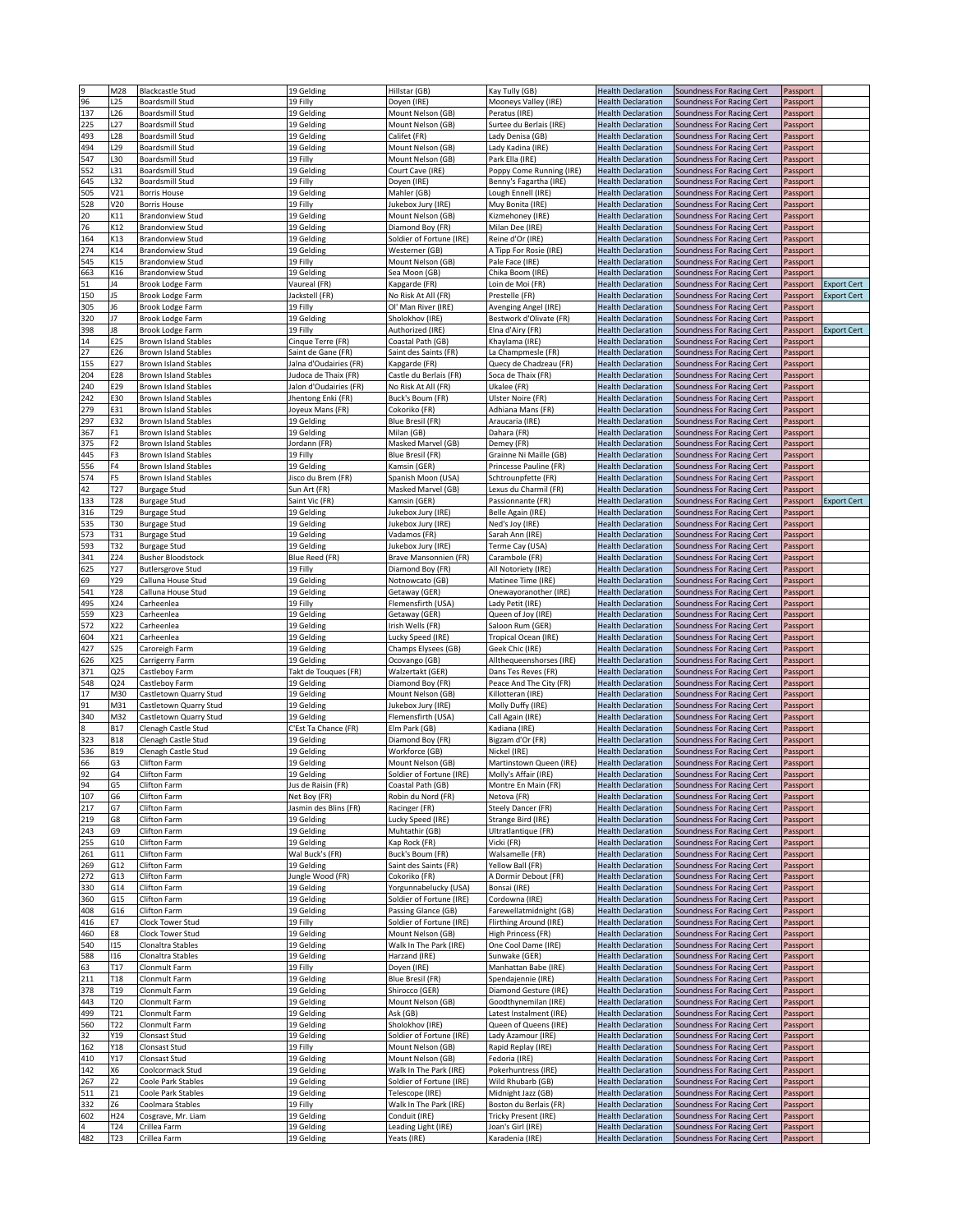|     | M28             | <b>Blackcastle Stud</b>            | 19 Gelding               | Hillstar (GB)            | Kay Tully (GB)                            | <b>Health Declaration</b>                              | Soundness For Racing Cert                              | Passport             |                    |
|-----|-----------------|------------------------------------|--------------------------|--------------------------|-------------------------------------------|--------------------------------------------------------|--------------------------------------------------------|----------------------|--------------------|
| 96  | L <sub>25</sub> | Boardsmill Stud                    | 19 Filly                 | Doyen (IRE)              | Mooneys Valley (IRE)                      | <b>Health Declaration</b>                              | Soundness For Racing Cert                              | Passport             |                    |
| 137 | L26             | Boardsmill Stud                    | 19 Gelding               | Mount Nelson (GB)        | Peratus (IRE)                             | <b>Health Declaration</b>                              | Soundness For Racing Cert                              | Passport             |                    |
| 225 | L <sub>27</sub> | <b>Boardsmill Stud</b>             | 19 Gelding               | Mount Nelson (GB)        | Surtee du Berlais (IRE)                   | <b>Health Declaration</b>                              | Soundness For Racing Cert                              | Passport             |                    |
| 493 | L28             | <b>Boardsmill Stud</b>             | 19 Gelding               | Califet (FR)             | Lady Denisa (GB)                          | <b>Health Declaration</b>                              | Soundness For Racing Cert                              | Passport             |                    |
| 494 | L <sub>29</sub> | Boardsmill Stud                    | 19 Gelding               | Mount Nelson (GB)        | Lady Kadina (IRE)                         | <b>Health Declaration</b>                              | Soundness For Racing Cert                              | Passport             |                    |
| 547 | L30             | <b>Boardsmill Stud</b>             | 19 Filly                 | Mount Nelson (GB)        | Park Ella (IRE)                           | <b>Health Declaration</b>                              | Soundness For Racing Cert                              | Passport             |                    |
| 552 | L31             | Boardsmill Stud                    | 19 Gelding               | Court Cave (IRE)         | Poppy Come Running (IRE)                  | <b>Health Declaration</b>                              | Soundness For Racing Cert                              | Passport             |                    |
|     | L32             |                                    | 19 Filly                 |                          | Benny's Fagartha (IRE)                    | <b>Health Declaration</b>                              | Soundness For Racing Cert                              |                      |                    |
| 645 |                 | Boardsmill Stud                    |                          | Doyen (IRE)              |                                           |                                                        |                                                        | Passport             |                    |
| 505 | V21             | <b>Borris House</b>                | 19 Gelding               | Mahler (GB)              | Lough Ennell (IRE)                        | <b>Health Declaration</b>                              | Soundness For Racing Cert                              | Passport             |                    |
| 528 | V20             | <b>Borris House</b>                | 19 Filly                 | Jukebox Jury (IRE)       | Muy Bonita (IRE)                          | <b>Health Declaration</b>                              | Soundness For Racing Cert                              | Passport             |                    |
| 20  | K11             | <b>Brandonview Stud</b>            | 19 Gelding               | Mount Nelson (GB)        | Kizmehoney (IRE)                          | <b>Health Declaration</b>                              | Soundness For Racing Cert                              | Passport             |                    |
| 76  | K12             | <b>Brandonview Stud</b>            | 19 Gelding               | Diamond Boy (FR)         | Milan Dee (IRE)                           | <b>Health Declaration</b>                              | Soundness For Racing Cert                              | Passport             |                    |
| 164 | K13             | <b>Brandonview Stud</b>            | 19 Gelding               | Soldier of Fortune (IRE) | Reine d'Or (IRE)                          | <b>Health Declaration</b>                              | Soundness For Racing Cert                              | Passport             |                    |
| 274 | K14             | <b>Brandonview Stud</b>            | 19 Gelding               | Westerner (GB)           | A Tipp For Rosie (IRE)                    | <b>Health Declaration</b>                              | Soundness For Racing Cert                              | Passport             |                    |
| 545 | K15             | <b>Brandonview Stud</b>            | 19 Filly                 | Mount Nelson (GB)        | Pale Face (IRE)                           | <b>Health Declaration</b>                              | Soundness For Racing Cert                              | Passport             |                    |
| 663 | K16             | <b>Brandonview Stud</b>            | 19 Gelding               | Sea Moon (GB)            | Chika Boom (IRE)                          | <b>Health Declaration</b>                              | Soundness For Racing Cert                              | Passport             |                    |
| 51  | J4              | Brook Lodge Farm                   | Vaureal (FR)             | Kapgarde (FR)            | oin de Moi (FR).                          | <b>Health Declaration</b>                              | Soundness For Racing Cert                              | Passport             | <b>Export Cert</b> |
| 150 | J5              | Brook Lodge Farm                   | Jackstell (FR)           | No Risk At All (FR)      | Prestelle (FR)                            | <b>Health Declaration</b>                              | Soundness For Racing Cert                              | Passport             | <b>Export Cert</b> |
| 305 | J6              | Brook Lodge Farm                   | 19 Filly                 | Ol' Man River (IRE)      | Avenging Angel (IRE)                      | <b>Health Declaration</b>                              | Soundness For Racing Cert                              | Passport             |                    |
| 320 | J7              | Brook Lodge Farm                   | 19 Gelding               | Sholokhov (IRE)          | Bestwork d'Olivate (FR)                   | <b>Health Declaration</b>                              | Soundness For Racing Cert                              | Passport             |                    |
| 398 | 18              | Brook Lodge Farm                   | 19 Filly                 | Authorized (IRE)         | Elna d'Airy (FR)                          | <b>Health Declaration</b>                              | Soundness For Racing Cert                              | Passport             | <b>Export Cert</b> |
| 14  | E25             | <b>Brown Island Stables</b>        | Cinque Terre (FR)        | Coastal Path (GB)        | Khaylama (IRE)                            | <b>Health Declaration</b>                              | Soundness For Racing Cert                              | Passport             |                    |
| 27  | E26             | <b>Brown Island Stables</b>        | Saint de Gane (FR)       | Saint des Saints (FR)    | La Champmesle (FR)                        | <b>Health Declaration</b>                              | Soundness For Racing Cert                              | Passport             |                    |
| 155 |                 |                                    |                          |                          |                                           |                                                        |                                                        |                      |                    |
|     | E27             | <b>Brown Island Stables</b>        | Jalna d'Oudairies (FR)   | Kapgarde (FR)            | Quecy de Chadzeau (FR)                    | <b>Health Declaration</b>                              | Soundness For Racing Cert                              | Passport             |                    |
| 204 | E28             | <b>Brown Island Stables</b>        | Judoca de Thaix (FR)     | Castle du Berlais (FR)   | Soca de Thaix (FR)                        | <b>Health Declaration</b>                              | Soundness For Racing Cert                              | Passport             |                    |
| 240 | E29             | <b>Brown Island Stables</b>        | Jalon d'Oudairies (FR)   | No Risk At All (FR)      | Ukalee (FR)                               | <b>Health Declaration</b>                              | Soundness For Racing Cert                              | Passport             |                    |
| 242 | E30             | <b>Brown Island Stables</b>        | Jhentong Enki (FR)       | Buck's Boum (FR)         | Ulster Noire (FR)                         | <b>Health Declaration</b>                              | Soundness For Racing Cert                              | Passport             |                    |
| 279 | E31             | <b>Brown Island Stables</b>        | Joyeux Mans (FR)         | Cokoriko (FR)            | Adhiana Mans (FR)                         | <b>Health Declaration</b>                              | Soundness For Racing Cert                              | Passport             |                    |
| 297 | E32             | <b>Brown Island Stables</b>        | 19 Gelding               | Blue Bresil (FR)         | Araucaria (IRE)                           | <b>Health Declaration</b>                              | Soundness For Racing Cert                              | Passport             |                    |
| 367 | F1              | <b>Brown Island Stables</b>        | 19 Gelding               | Milan (GB)               | Dahara (FR)                               | <b>Health Declaration</b>                              | Soundness For Racing Cert                              | Passport             |                    |
| 375 | F <sub>2</sub>  | <b>Brown Island Stables</b>        | Jordann (FR)             | Masked Marvel (GB)       | Demey (FR)                                | <b>Health Declaration</b>                              | Soundness For Racing Cert                              | Passport             |                    |
| 445 | F3              | <b>Brown Island Stables</b>        | 19 Filly                 | <b>Blue Bresil (FR)</b>  | Grainne Ni Maille (GB)                    | <b>Health Declaration</b>                              | Soundness For Racing Cert                              | Passport             |                    |
| 556 | F4              | <b>Brown Island Stables</b>        | 19 Gelding               | Kamsin (GER)             | Princesse Pauline (FR)                    | <b>Health Declaration</b>                              | Soundness For Racing Cert                              | Passport             |                    |
| 574 | F5              | <b>Brown Island Stables</b>        | Jisco du Brem (FR)       | Spanish Moon (USA)       | Schtrounpfette (FR)                       | Health Declaration                                     | Soundness For Racing Cert                              | Passport             |                    |
| 42  | T27             | <b>Burgage Stud</b>                | Sun Art (FR)             | Masked Marvel (GB)       | Lexus du Charmil (FR)                     | <b>Health Declaration</b>                              | <b>Soundness For Racing Cert</b>                       | Passport             |                    |
| 133 | T28             | <b>Burgage Stud</b>                | Saint Vic (FR)           | Kamsin (GER)             | Passionnante (FR)                         | <b>Health Declaration</b>                              | Soundness For Racing Cert                              | Passport             | <b>Export Cert</b> |
| 316 | T29             | <b>Burgage Stud</b>                | 19 Gelding               | Jukebox Jury (IRE)       | Belle Again (IRE)                         | <b>Health Declaration</b>                              | Soundness For Racing Cert                              | Passport             |                    |
| 535 | T30             |                                    | 19 Gelding               | Jukebox Jury (IRE)       | Ned's Joy (IRE)                           | <b>Health Declaration</b>                              | Soundness For Racing Cert                              |                      |                    |
|     | T31             | <b>Burgage Stud</b>                |                          |                          | Sarah Ann (IRE)                           |                                                        |                                                        | Passport             |                    |
| 573 |                 | <b>Burgage Stud</b>                | 19 Gelding               | Vadamos (FR)             |                                           | <b>Health Declaration</b>                              | Soundness For Racing Cert                              | Passport             |                    |
| 593 | T32             | <b>Burgage Stud</b>                | 19 Gelding               | lukebox Jury (IRE)       | Terme Cay (USA)                           | <b>Health Declaration</b>                              | Soundness For Racing Cert                              | Passport             |                    |
| 341 | Z24             | <b>Busher Bloodstock</b>           | Blue Reed (FR)           | Brave Mansonnien (FR)    | Carambole (FR)                            | <b>Health Declaration</b>                              | Soundness For Racing Cert                              | Passport             |                    |
| 625 | Y27             | <b>Butlersgrove Stud</b>           | 19 Filly                 | Diamond Boy (FR)         | All Notoriety (IRE)                       | <b>Health Declaration</b>                              | Soundness For Racing Cert                              | Passport             |                    |
| 69  | Y29             | Calluna House Stud                 | 19 Gelding               | Notnowcato (GB)          | Matinee Time (IRE)                        | <b>Health Declaration</b>                              | Soundness For Racing Cert                              | Passport             |                    |
| 541 | Y28             | Calluna House Stud                 | 19 Gelding               | Getaway (GER)            | Onewayoranother (IRE)                     | <b>Health Declaration</b>                              | Soundness For Racing Cert                              | Passport             |                    |
| 495 | X24             | Carheenlea                         | 19 Filly                 | Flemensfirth (USA)       | Lady Petit (IRE)                          | <b>Health Declaration</b>                              | Soundness For Racing Cert                              | Passport             |                    |
| 559 | X23             | Carheenlea                         | 19 Gelding               | Getaway (GER)            | Queen of Joy (IRE)                        | <b>Health Declaration</b>                              | Soundness For Racing Cert                              | Passport             |                    |
| 572 | X22             | Carheenlea                         | 19 Gelding               | Irish Wells (FR)         | Saloon Rum (GER)                          | <b>Health Declaration</b>                              | Soundness For Racing Cert                              | Passport             |                    |
| 604 | X21             | Carheenlea                         | 19 Gelding               | Lucky Speed (IRE)        | Tropical Ocean (IRE)                      | <b>Health Declaration</b>                              | Soundness For Racing Cert                              | Passport             |                    |
|     |                 |                                    |                          |                          |                                           |                                                        |                                                        |                      |                    |
| 427 | 525             | Caroreigh Farm                     | 19 Gelding               | Champs Elysees (GB)      | Geek Chic (IRE)                           | <b>Health Declaration</b>                              | Soundness For Racing Cert                              | Passport             |                    |
|     |                 |                                    |                          |                          |                                           |                                                        |                                                        |                      |                    |
| 626 | X25             | Carrigerry Farm                    | 19 Gelding               | Ocovango (GB)            | Allthequeenshorses (IRE)                  | <b>Health Declaration</b>                              | Soundness For Racing Cert                              | Passport             |                    |
| 371 | Q25             | Castleboy Farm                     | Takt de Touques (FR)     | Walzertakt (GER)         | Dans Tes Reves (FR)                       | <b>Health Declaration</b>                              | Soundness For Racing Cert                              | Passport             |                    |
| 548 | Q24             | Castleboy Farm                     | 19 Gelding               | Diamond Boy (FR)         | Peace And The City (FR)                   | <b>Health Declaration</b>                              | Soundness For Racing Cert                              | Passport             |                    |
| 17  | M30             | Castletown Quarry Stud             | 19 Gelding               | Mount Nelson (GB)        | Killotteran (IRE)                         | <b>Health Declaration</b>                              | Soundness For Racing Cert                              | Passport             |                    |
| 91  | M31             | Castletown Quarry Stud             | 19 Gelding               | lukebox Jury (IRE)       | Molly Duffy (IRE)                         | <b>Health Declaration</b>                              | Soundness For Racing Cert                              | Passport             |                    |
| 340 | M32             | Castletown Quarry Stud             | 19 Gelding               | Flemensfirth (USA)       | Call Again (IRE)                          | <b>Health Declaration</b>                              | Soundness For Racing Cert                              | Passport             |                    |
|     | <b>B17</b>      | Clenagh Castle Stud                | C'Est Ta Chance (FR)     | Elm Park (GB)            | Kadiana (IRE)                             | <b>Health Declaration</b>                              | Soundness For Racing Cert                              | Passport             |                    |
| 323 | <b>B18</b>      | Clenagh Castle Stud                | 19 Gelding               | Diamond Boy (FR)         | Bigzam d'Or (FR)                          | <b>Health Declaration</b>                              | Soundness For Racing Cert                              | Passport             |                    |
| 536 | <b>B19</b>      | Clenagh Castle Stud                | 19 Gelding               | Workforce (GB)           | Vickel (IRE)                              | <b>Health Declaration</b>                              | Soundness For Racing Cert                              | Passport             |                    |
| 66  | G3              | Clifton Farm                       | 19 Gelding               | Mount Nelson (GB)        | Martinstown Queen (IRE)                   | <b>Health Declaration</b>                              | Soundness For Racing Cert                              | Passport             |                    |
| 92  | G4              | Clifton Farm                       | 19 Gelding               | Soldier of Fortune (IRE) | Molly's Affair (IRE)                      | <b>Health Declaration</b>                              | Soundness For Racing Cert                              | Passport             |                    |
| 94  | G5              | Clifton Farm                       | Jus de Raisin (FR)       | Coastal Path (GB)        | Montre En Main (FR)                       | <b>Health Declaration</b>                              | Soundness For Racing Cert                              | Passport             |                    |
| 107 | G6              | Clifton Farm                       | Net Boy (FR)             | Robin du Nord (FR)       | Netova (FR)                               | <b>Health Declaration</b>                              | Soundness For Racing Cert                              | Passport             |                    |
| 217 | G7              | Clifton Farm                       | Jasmin des Blins (FR)    | Racinger (FR)            | Steely Dancer (FR)                        | <b>Health Declaration</b>                              | Soundness For Racing Cert                              | Passport             |                    |
| 219 | G8              | Clifton Farm                       | 19 Gelding               | Lucky Speed (IRE)        | Strange Bird (IRE)                        | <b>Health Declaration</b>                              | Soundness For Racing Cert                              | Passport             |                    |
| 243 | G9              | Clifton Farm                       | 19 Gelding               | Muhtathir (GB)           | Ultratlantique (FR)                       | <b>Health Declaration</b>                              | Soundness For Racing Cert                              | Passport             |                    |
| 255 | G10             | Clifton Farm                       | 19 Gelding               | Kap Rock (FR)            | Vicki (FR)                                | <b>Health Declaration</b>                              | Soundness For Racing Cert                              | Passport             |                    |
| 261 | G11             | Clifton Farm                       | Wal Buck's (FR)          | Buck's Boum (FR)         | Walsamelle (FR)                           | <b>Health Declaration</b>                              | Soundness For Racing Cert                              | Passport             |                    |
| 269 | G12             | Clifton Farm                       | 19 Gelding               | Saint des Saints (FR)    | Yellow Ball (FR)                          | <b>Health Declaration</b>                              | Soundness For Racing Cert                              | Passport             |                    |
| 272 | G13             | Clifton Farm                       | Jungle Wood (FR)         | Cokoriko (FR)            | A Dormir Debout (FR)                      | <b>Health Declaration</b>                              | Soundness For Racing Cert                              | Passport             |                    |
| 330 | G14             | Clifton Farm                       | 19 Gelding               | Yorgunnabelucky (USA)    | Bonsai (IRE)                              | <b>Health Declaration</b>                              | Soundness For Racing Cert                              | Passport             |                    |
| 360 | G15             | Clifton Farm                       | 19 Gelding               | Soldier of Fortune (IRE) | Cordowna (IRE)                            | <b>Health Declaration</b>                              | Soundness For Racing Cert                              | Passport             |                    |
|     |                 | Clifton Farm                       |                          |                          | Farewellatmidnight (GB)                   | <b>Health Declaration</b>                              |                                                        |                      |                    |
| 408 | G16<br>E7       |                                    | 19 Gelding               | Passing Glance (GB)      |                                           |                                                        | Soundness For Racing Cert                              | Passport             |                    |
| 416 |                 | Clock Tower Stud                   | 19 Filly                 | Soldier of Fortune (IRE) | Flirthing Around (IRE)                    | <b>Health Declaration</b>                              | Soundness For Racing Cert                              | Passport             |                    |
| 460 | E8              | Clock Tower Stud                   | 19 Gelding               | Mount Nelson (GB)        | <b>High Princess (FR)</b>                 | <b>Health Declaration</b>                              | Soundness For Racing Cert                              | Passport             |                    |
| 540 | 115             | Clonaltra Stables                  | 19 Gelding               | Walk In The Park (IRE)   | One Cool Dame (IRE)                       | <b>Health Declaration</b>                              | Soundness For Racing Cert                              | Passport             |                    |
| 588 | 116             | Clonaltra Stables                  | 19 Gelding               | Harzand (IRE)            | Sunwake (GER)                             | <b>Health Declaration</b>                              | Soundness For Racing Cert                              | Passport             |                    |
| 63  | T17             | Clonmult Farm                      | 19 Filly                 | Doyen (IRE)              | Manhattan Babe (IRE)                      | <b>Health Declaration</b>                              | Soundness For Racing Cert                              | Passport             |                    |
| 211 | T18             | Clonmult Farm                      | 19 Gelding               | Blue Bresil (FR)         | Spendajennie (IRE)                        | <b>Health Declaration</b>                              | Soundness For Racing Cert                              | Passport             |                    |
| 378 | T19             | Clonmult Farm                      | 19 Gelding               | Shirocco (GER)           | Diamond Gesture (IRE)                     | <b>Health Declaration</b>                              | Soundness For Racing Cert                              | Passport             |                    |
| 443 | T20             | Clonmult Farm                      | 19 Gelding               | Mount Nelson (GB)        | Goodthynemilan (IRE)                      | <b>Health Declaration</b>                              | Soundness For Racing Cert                              | Passport             |                    |
| 499 | T21             | Clonmult Farm                      | 19 Gelding               | Ask (GB)                 | Latest Instalment (IRE)                   | <b>Health Declaration</b>                              | Soundness For Racing Cert                              | Passport             |                    |
| 560 | T22             | Clonmult Farm                      | 19 Gelding               | Sholokhov (IRE)          | Queen of Queens (IRE)                     | <b>Health Declaration</b>                              | Soundness For Racing Cert                              | Passport             |                    |
| 32  | Y19             | Clonsast Stud                      | 19 Gelding               | Soldier of Fortune (IRE) | Lady Azamour (IRE)                        | <b>Health Declaration</b>                              | Soundness For Racing Cert                              | Passport             |                    |
| 162 | Y18             | Clonsast Stud                      | 19 Filly                 | Mount Nelson (GB)        | Rapid Replay (IRE)                        | <b>Health Declaration</b>                              | Soundness For Racing Cert                              | Passport             |                    |
| 410 | Y17             | Clonsast Stud                      | 19 Gelding               | Mount Nelson (GB)        | Fedoria (IRE)                             | <b>Health Declaration</b>                              | Soundness For Racing Cert                              | Passport             |                    |
| 142 | Х6              | Coolcormack Stud                   | 19 Gelding               | Walk In The Park (IRE)   | Pokerhuntress (IRE)                       | <b>Health Declaration</b>                              | Soundness For Racing Cert                              | Passport             |                    |
| 267 | Z2              | Coole Park Stables                 | 19 Gelding               | Soldier of Fortune (IRE) | Wild Rhubarb (GB)                         | <b>Health Declaration</b>                              | Soundness For Racing Cert                              | Passport             |                    |
| 511 | Z1              | Coole Park Stables                 | 19 Gelding               | Telescope (IRE)          | Midnight Jazz (GB)                        | <b>Health Declaration</b>                              | Soundness For Racing Cert                              | Passport             |                    |
| 332 | Z6              | Coolmara Stables                   | 19 Filly                 | Walk In The Park (IRE)   | Boston du Berlais (FR)                    | <b>Health Declaration</b>                              | Soundness For Racing Cert                              | Passport             |                    |
|     |                 |                                    |                          | Conduit (IRE)            |                                           |                                                        |                                                        |                      |                    |
| 602 | H24<br>T24      | Cosgrave, Mr. Liam<br>Crillea Farm | 19 Gelding<br>19 Gelding | Leading Light (IRE)      | Tricky Present (IRE)<br>Joan's Girl (IRE) | <b>Health Declaration</b><br><b>Health Declaration</b> | Soundness For Racing Cert<br>Soundness For Racing Cert | Passport<br>Passport |                    |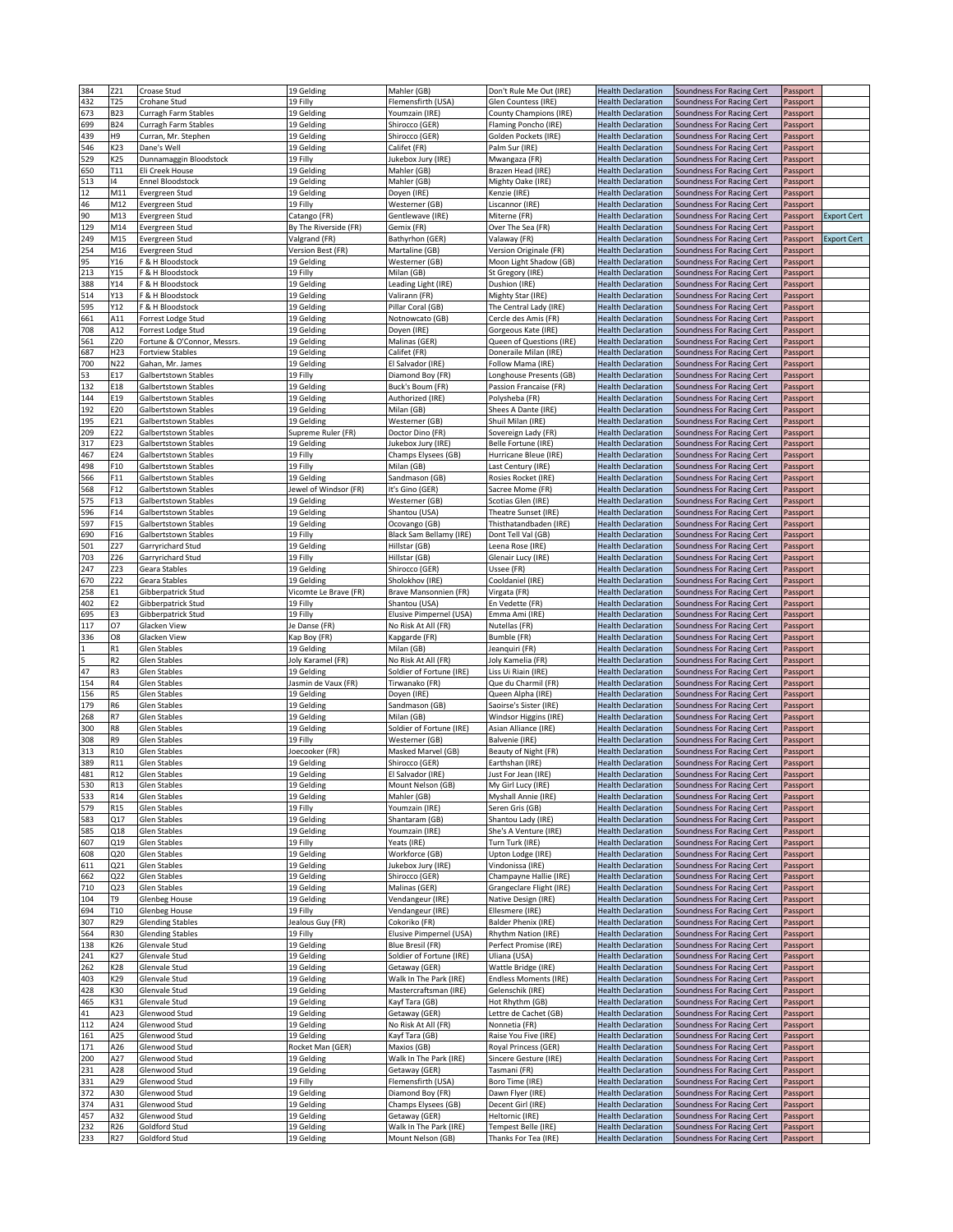| 384 | Z21             | Croase Stud                 | 19 Gelding            | Mahler (GB)              | Don't Rule Me Out (IRE)       | <b>Health Declaration</b> | Soundness For Racing Cert | Passport |                    |
|-----|-----------------|-----------------------------|-----------------------|--------------------------|-------------------------------|---------------------------|---------------------------|----------|--------------------|
| 432 | T <sub>25</sub> | Crohane Stud                | 19 Filly              | Flemensfirth (USA)       | Glen Countess (IRE)           | <b>Health Declaration</b> | Soundness For Racing Cert | Passport |                    |
| 673 | <b>B23</b>      | Curragh Farm Stables        | 19 Gelding            | Youmzain (IRE)           | <b>County Champions (IRE)</b> | <b>Health Declaration</b> | Soundness For Racing Cert | Passport |                    |
| 699 | <b>B24</b>      | Curragh Farm Stables        | 19 Gelding            | Shirocco (GER)           | Flaming Poncho (IRE)          | <b>Health Declaration</b> | Soundness For Racing Cert | Passport |                    |
| 439 | Н9              | Curran, Mr. Stephen         | 19 Gelding            | Shirocco (GER)           | Golden Pockets (IRE)          | <b>Health Declaration</b> | Soundness For Racing Cert | Passport |                    |
| 546 | K23             | Dane's Well                 | 19 Gelding            | Califet (FR)             | Palm Sur (IRE)                | <b>Health Declaration</b> | Soundness For Racing Cert | Passport |                    |
| 529 | K25             | Dunnamaggin Bloodstock      | 19 Filly              | Jukebox Jury (IRE)       | Mwangaza (FR)                 | <b>Health Declaration</b> | Soundness For Racing Cert | Passport |                    |
| 650 | T11             | Eli Creek House             | 19 Gelding            | Mahler (GB)              | Brazen Head (IRE)             | <b>Health Declaration</b> | Soundness For Racing Cert | Passport |                    |
| 513 | 14              | <b>Ennel Bloodstock</b>     | 19 Gelding            | Mahler (GB)              |                               | <b>Health Declaration</b> | Soundness For Racing Cert |          |                    |
|     |                 |                             |                       |                          | Mighty Oake (IRE)             |                           |                           | Passport |                    |
| 12  | M11             | Evergreen Stud              | 19 Gelding            | Doyen (IRE)              | Kenzie (IRE)                  | <b>Health Declaration</b> | Soundness For Racing Cert | Passport |                    |
| 46  | M12             | Evergreen Stud              | 19 Filly              | Westerner (GB)           | Liscannor (IRE)               | <b>Health Declaration</b> | Soundness For Racing Cert | Passport |                    |
| 90  | M13             | Evergreen Stud              | Catango (FR)          | Gentlewave (IRE)         | Miterne (FR)                  | <b>Health Declaration</b> | Soundness For Racing Cert | Passport | <b>Export Cert</b> |
| 129 | M14             | Evergreen Stud              | By The Riverside (FR) | Gemix (FR)               | Over The Sea (FR)             | <b>Health Declaration</b> | Soundness For Racing Cert | Passport |                    |
| 249 | M15             | Evergreen Stud              | Valgrand (FR)         | Bathyrhon (GER)          | Valaway (FR)                  | <b>Health Declaration</b> | Soundness For Racing Cert | Passport | <b>Export Cert</b> |
| 254 | M16             | Evergreen Stud              | Version Best (FR)     | Martaline (GB)           | Version Originale (FR)        | <b>Health Declaration</b> | Soundness For Racing Cert | Passport |                    |
| 95  | Y16             | F & H Bloodstock            | 19 Gelding            | Westerner (GB)           | Moon Light Shadow (GB)        | <b>Health Declaration</b> | Soundness For Racing Cert | Passport |                    |
| 213 | Y15             | F & H Bloodstock            | 19 Filly              | Milan (GB)               | St Gregory (IRE)              | <b>Health Declaration</b> | Soundness For Racing Cert | Passport |                    |
| 388 | Y14             | F & H Bloodstock            | 19 Gelding            | Leading Light (IRE)      | Dushion (IRE)                 | <b>Health Declaration</b> | Soundness For Racing Cert | Passport |                    |
| 514 | Y13             | F & H Bloodstock            | 19 Gelding            | Valirann (FR)            | Mighty Star (IRE)             | <b>Health Declaration</b> | Soundness For Racing Cert | Passport |                    |
| 595 | Y12             | F & H Bloodstock            | 19 Gelding            | Pillar Coral (GB)        | The Central Lady (IRE)        | <b>Health Declaration</b> | Soundness For Racing Cert | Passport |                    |
|     |                 |                             |                       |                          |                               |                           |                           |          |                    |
| 661 | A11             | Forrest Lodge Stud          | 19 Gelding            | Notnowcato (GB)          | Cercle des Amis (FR)          | <b>Health Declaration</b> | Soundness For Racing Cert | Passport |                    |
| 708 | A12             | Forrest Lodge Stud          | 19 Gelding            | Doyen (IRE)              | Gorgeous Kate (IRE)           | <b>Health Declaration</b> | Soundness For Racing Cert | Passport |                    |
| 561 | Z20             | Fortune & O'Connor, Messrs. | 19 Gelding            | Malinas (GER)            | Queen of Questions (IRE)      | <b>Health Declaration</b> | Soundness For Racing Cert | Passport |                    |
| 687 | H <sub>23</sub> | <b>Fortview Stables</b>     | 19 Gelding            | Califet (FR)             | Doneraile Milan (IRE)         | <b>Health Declaration</b> | Soundness For Racing Cert | Passport |                    |
| 700 | N22             | Gahan, Mr. James            | 19 Gelding            | El Salvador (IRE)        | Follow Mama (IRE)             | <b>Health Declaration</b> | Soundness For Racing Cert | Passport |                    |
| 53  | E17             | Galbertstown Stables        | 19 Filly              | Diamond Boy (FR)         | Longhouse Presents (GB)       | <b>Health Declaration</b> | Soundness For Racing Cert | Passport |                    |
| 132 | E18             | Galbertstown Stables        | 19 Gelding            | Buck's Boum (FR)         | Passion Francaise (FR)        | <b>Health Declaration</b> | Soundness For Racing Cert | Passport |                    |
| 144 | E19             | Galbertstown Stables        | 19 Gelding            | Authorized (IRE)         | Polysheba (FR)                | <b>Health Declaration</b> | Soundness For Racing Cert | Passport |                    |
| 192 | E20             | Galbertstown Stables        | 19 Gelding            | Milan (GB)               | Shees A Dante (IRE)           | <b>Health Declaration</b> | Soundness For Racing Cert | Passport |                    |
|     |                 |                             |                       |                          |                               |                           |                           |          |                    |
| 195 | E21             | Galbertstown Stables        | 19 Gelding            | Westerner (GB)           | Shuil Milan (IRE)             | <b>Health Declaration</b> | Soundness For Racing Cert | Passport |                    |
| 209 | E22             | Galbertstown Stables        | Supreme Ruler (FR)    | Doctor Dino (FR)         | Sovereign Lady (FR)           | <b>Health Declaration</b> | Soundness For Racing Cert | Passport |                    |
| 317 | E23             | Galbertstown Stables        | 19 Gelding            | Jukebox Jury (IRE        | Belle Fortune (IRE)           | <b>Health Declaration</b> | Soundness For Racing Cert | Passport |                    |
| 467 | E24             | Galbertstown Stables        | 19 Filly              | Champs Elysees (GB)      | Hurricane Bleue (IRE)         | <b>Health Declaration</b> | Soundness For Racing Cert | Passport |                    |
| 498 | F10             | Galbertstown Stables        | 19 Filly              | Milan (GB)               | Last Century (IRE)            | <b>Health Declaration</b> | Soundness For Racing Cert | Passport |                    |
| 566 | F11             | Galbertstown Stables        | 19 Gelding            | Sandmason (GB)           | Rosies Rocket (IRE)           | <b>Health Declaration</b> | Soundness For Racing Cert | Passport |                    |
| 568 | F12             | Galbertstown Stables        | lewel of Windsor (FR) | It's Gino (GER)          | Sacree Mome (FR)              | <b>Health Declaration</b> | Soundness For Racing Cert | Passport |                    |
| 575 | F13             | Galbertstown Stables        | 19 Gelding            | Westerner (GB)           | Scotias Glen (IRE)            | <b>Health Declaration</b> | Soundness For Racing Cert | Passport |                    |
|     |                 |                             |                       |                          |                               |                           |                           |          |                    |
| 596 | F14             | Galbertstown Stables        | 19 Gelding            | Shantou (USA)            | Theatre Sunset (IRE)          | <b>Health Declaration</b> | Soundness For Racing Cert | Passport |                    |
| 597 | F15             | Galbertstown Stables        | 19 Gelding            | Ocovango (GB)            | Thisthatandbaden (IRE)        | <b>Health Declaration</b> | Soundness For Racing Cert | Passport |                    |
| 690 | F16             | Galbertstown Stables        | 19 Filly              | Black Sam Bellamy (IRE)  | Dont Tell Val (GB)            | <b>Health Declaration</b> | Soundness For Racing Cert | Passport |                    |
| 501 | Z27             | Garryrichard Stud           | 19 Gelding            | Hillstar (GB)            | Leena Rose (IRE)              | <b>Health Declaration</b> | Soundness For Racing Cert | Passport |                    |
| 703 | Z26             | Garryrichard Stud           | 19 Filly              | Hillstar (GB)            | Glenair Lucy (IRE)            | <b>Health Declaration</b> | Soundness For Racing Cert | Passport |                    |
| 247 | Z23             | Geara Stables               | 19 Gelding            | Shirocco (GER)           | Ussee (FR)                    | <b>Health Declaration</b> | Soundness For Racing Cert | Passport |                    |
| 670 | Z22             | Geara Stables               | 19 Gelding            | Sholokhov (IRE)          | Cooldaniel (IRE)              | <b>Health Declaration</b> | Soundness For Racing Cert | Passport |                    |
| 258 | E1              | Gibberpatrick Stud          | Vicomte Le Brave (FR) | Brave Mansonnien (FR)    | Virgata (FR)                  | <b>Health Declaration</b> | Soundness For Racing Cert | Passport |                    |
| 402 | E2              | Gibberpatrick Stud          | 19 Filly              | Shantou (USA)            | En Vedette (FR)               | <b>Health Declaration</b> | Soundness For Racing Cert | Passport |                    |
| 695 | E3              |                             | 19 Filly              | Elusive Pimpernel (USA)  |                               |                           |                           |          |                    |
|     |                 | Gibberpatrick Stud          |                       |                          | Emma Ami (IRE)                | <b>Health Declaration</b> | Soundness For Racing Cert | Passport |                    |
| 117 | 07              | Glacken View                | le Danse (FR)         | No Risk At All (FR)      | Nutellas (FR)                 | <b>Health Declaration</b> | Soundness For Racing Cert | Passport |                    |
| 336 | O8              | Glacken View                | Kap Boy (FR)          | Kapgarde (FR)            | Bumble (FR)                   | <b>Health Declaration</b> | Soundness For Racing Cert | Passport |                    |
|     | R1              | Glen Stables                | 19 Gelding            | Milan (GB)               | Jeanquiri (FR)                | <b>Health Declaration</b> | Soundness For Racing Cert | Passport |                    |
|     | R <sub>2</sub>  | Glen Stables                | oly Karamel (FR)      | No Risk At All (FR)      | Joly Kamelia (FR)             | <b>Health Declaration</b> | Soundness For Racing Cert | Passport |                    |
| 47  | R3              | Glen Stables                | 19 Gelding            | Soldier of Fortune (IRE) | Liss Ui Riain (IRE)           | <b>Health Declaration</b> | Soundness For Racing Cert | Passport |                    |
| 154 | R4              | Glen Stables                | Jasmin de Vaux (FR)   | Tirwanako (FR)           | Que du Charmil (FR)           | <b>Health Declaration</b> | Soundness For Racing Cert | Passport |                    |
| 156 | R <sub>5</sub>  | Glen Stables                | 19 Gelding            | Doyen (IRE)              | Queen Alpha (IRE)             | <b>Health Declaration</b> | Soundness For Racing Cert | Passport |                    |
| 179 | R <sub>6</sub>  | Glen Stables                | 19 Gelding            | Sandmason (GB)           | Saoirse's Sister (IRE)        | <b>Health Declaration</b> | Soundness For Racing Cert | Passport |                    |
| 268 | R7              | Glen Stables                | 19 Gelding            | Milan (GB)               | Windsor Higgins (IRE)         | <b>Health Declaration</b> | Soundness For Racing Cert | Passport |                    |
|     |                 |                             |                       |                          |                               |                           |                           |          |                    |
| 300 | R8              | <b>Glen Stables</b>         | 19 Gelding            | Soldier of Fortune (IRE) | Asian Alliance (IRE)          | <b>Health Declaration</b> | Soundness For Racing Cert | Passport |                    |
| 308 | R9              | <b>Glen Stables</b>         | 19 Filly              | Westerner (GB)           | Balvenie (IRE)                | <b>Health Declaration</b> | Soundness For Racing Cert | Passport |                    |
| 313 | R <sub>10</sub> | Glen Stables                | loecooker (FR)        | Masked Marvel (GB)       | Beauty of Night (FR)          | <b>Health Declaration</b> | Soundness For Racing Cert | Passport |                    |
| 389 | R11             | <b>Glen Stables</b>         | 19 Gelding            | Shirocco (GER)           | Earthshan (IRE)               | <b>Health Declaration</b> | Soundness For Racing Cert | Passport |                    |
| 481 | R12             | <b>Glen Stables</b>         | 19 Gelding            | El Salvador (IRE)        | Just For Jean (IRE)           | <b>Health Declaration</b> | Soundness For Racing Cert | Passport |                    |
| 530 | R13             | <b>Glen Stables</b>         | 19 Gelding            | Mount Nelson (GB)        | My Girl Lucy (IRE)            | <b>Health Declaration</b> | Soundness For Racing Cert | Passport |                    |
| 533 | R <sub>14</sub> | Glen Stables                | 19 Gelding            | Mahler (GB)              | Myshall Annie (IRE)           | <b>Health Declaration</b> | Soundness For Racing Cert | Passport |                    |
| 579 | R15             | Glen Stables                | L9 Filly              | Youmzain (IRE)           | Seren Gris (GB)               | <b>Health Declaration</b> | Soundness For Racing Cert | Passport |                    |
| 583 | Q17             | <b>Glen Stables</b>         | 19 Gelding            | Shantaram (GB)           | Shantou Lady (IRE)            | <b>Health Declaration</b> | Soundness For Racing Cert | Passport |                    |
| 585 | Q18             | Glen Stables                | 19 Gelding            | Youmzain (IRE)           | She's A Venture (IRE)         | <b>Health Declaration</b> | Soundness For Racing Cert | Passport |                    |
| 607 | Q19             | <b>Glen Stables</b>         | 19 Filly              | Yeats (IRE)              | Turn Turk (IRE)               | <b>Health Declaration</b> | Soundness For Racing Cert | Passport |                    |
|     |                 |                             |                       | Workforce (GB)           |                               | <b>Health Declaration</b> |                           |          |                    |
| 608 | Q20             | Glen Stables                | 19 Gelding            |                          | Upton Lodge (IRE)             |                           | Soundness For Racing Cert | Passport |                    |
| 611 | Q21             | <b>Glen Stables</b>         | 19 Gelding            | Jukebox Jury (IRE)       | Vindonissa (IRE)              | <b>Health Declaration</b> | Soundness For Racing Cert | Passport |                    |
| 662 | Q22             | Glen Stables                | 19 Gelding            | Shirocco (GER)           | Champayne Hallie (IRE)        | <b>Health Declaration</b> | Soundness For Racing Cert | Passport |                    |
| 710 | Q23             | Glen Stables                | 19 Gelding            | Malinas (GER)            | Grangeclare Flight (IRE)      | <b>Health Declaration</b> | Soundness For Racing Cert | Passport |                    |
| 104 | T9              | <b>Glenbeg House</b>        | 19 Gelding            | Vendangeur (IRE)         | Native Design (IRE)           | <b>Health Declaration</b> | Soundness For Racing Cert | Passport |                    |
| 694 | T10             | <b>Glenbeg House</b>        | 19 Filly              | Vendangeur (IRE)         | Ellesmere (IRE)               | <b>Health Declaration</b> | Soundness For Racing Cert | Passport |                    |
| 307 | R <sub>29</sub> | <b>Glending Stables</b>     | Jealous Guy (FR)      | Cokoriko (FR)            | <b>Balder Phenix (IRE)</b>    | <b>Health Declaration</b> | Soundness For Racing Cert | Passport |                    |
| 564 | R30             | <b>Glending Stables</b>     | 19 Filly              | Elusive Pimpernel (USA)  | Rhythm Nation (IRE)           | <b>Health Declaration</b> | Soundness For Racing Cert | Passport |                    |
| 138 | K26             | Glenvale Stud               | 19 Gelding            | Blue Bresil (FR)         | Perfect Promise (IRE)         | <b>Health Declaration</b> | Soundness For Racing Cert | Passport |                    |
| 241 | K27             | Glenvale Stud               | 19 Gelding            | Soldier of Fortune (IRE) | Uliana (USA)                  | <b>Health Declaration</b> | Soundness For Racing Cert | Passport |                    |
|     |                 |                             |                       |                          |                               |                           |                           |          |                    |
| 262 | K28             | Glenvale Stud               | 19 Gelding            | Getaway (GER)            | Wattle Bridge (IRE)           | <b>Health Declaration</b> | Soundness For Racing Cert | Passport |                    |
| 403 | K29             | Glenvale Stud               | 19 Gelding            | Walk In The Park (IRE)   | <b>Endless Moments (IRE)</b>  | <b>Health Declaration</b> | Soundness For Racing Cert | Passport |                    |
| 428 | K30             | Glenvale Stud               | 19 Gelding            | Mastercraftsman (IRE)    | Gelenschik (IRE)              | <b>Health Declaration</b> | Soundness For Racing Cert | Passport |                    |
| 465 | K31             | Glenvale Stud               | 19 Gelding            | Kayf Tara (GB)           | Hot Rhythm (GB)               | <b>Health Declaration</b> | Soundness For Racing Cert | Passport |                    |
| 41  | A23             | Glenwood Stud               | 19 Gelding            | Getaway (GER)            | Lettre de Cachet (GB)         | <b>Health Declaration</b> | Soundness For Racing Cert | Passport |                    |
| 112 | A24             | Glenwood Stud               | 19 Gelding            | No Risk At All (FR)      | Nonnetia (FR)                 | <b>Health Declaration</b> | Soundness For Racing Cert | Passport |                    |
| 161 | A25             | Glenwood Stud               | 19 Gelding            | Kayf Tara (GB)           | Raise You Five (IRE)          | <b>Health Declaration</b> | Soundness For Racing Cert | Passport |                    |
| 171 | A26             | Glenwood Stud               | Rocket Man (GER)      | Maxios (GB)              | Royal Princess (GER)          | <b>Health Declaration</b> | Soundness For Racing Cert | Passport |                    |
| 200 | A27             | Glenwood Stud               | 19 Gelding            | Walk In The Park (IRE)   | Sincere Gesture (IRE)         | <b>Health Declaration</b> | Soundness For Racing Cert | Passport |                    |
| 231 | A28             | Glenwood Stud               | 19 Gelding            | Getaway (GER)            | Tasmani (FR)                  | <b>Health Declaration</b> | Soundness For Racing Cert | Passport |                    |
| 331 | A29             | Glenwood Stud               | 19 Filly              | Flemensfirth (USA)       | Boro Time (IRE)               | <b>Health Declaration</b> | Soundness For Racing Cert |          |                    |
|     |                 |                             |                       |                          |                               |                           |                           | Passport |                    |
| 372 | A30             | Glenwood Stud               | 19 Gelding            | Diamond Boy (FR)         | Dawn Flyer (IRE)              | <b>Health Declaration</b> | Soundness For Racing Cert | Passport |                    |
| 374 | A31             | Glenwood Stud               | 19 Gelding            | Champs Elysees (GB)      | Decent Girl (IRE)             | <b>Health Declaration</b> | Soundness For Racing Cert | Passport |                    |
| 457 | A32             | Glenwood Stud               | 19 Gelding            | Getaway (GER)            | Heltornic (IRE)               | <b>Health Declaration</b> | Soundness For Racing Cert | Passport |                    |
| 232 | R26             | Goldford Stud               | 19 Gelding            | Walk In The Park (IRE)   | Tempest Belle (IRE)           | <b>Health Declaration</b> | Soundness For Racing Cert | Passport |                    |
| 233 | R27             | Goldford Stud               | 19 Gelding            | Mount Nelson (GB)        | Thanks For Tea (IRE)          | <b>Health Declaration</b> | Soundness For Racing Cert | Passport |                    |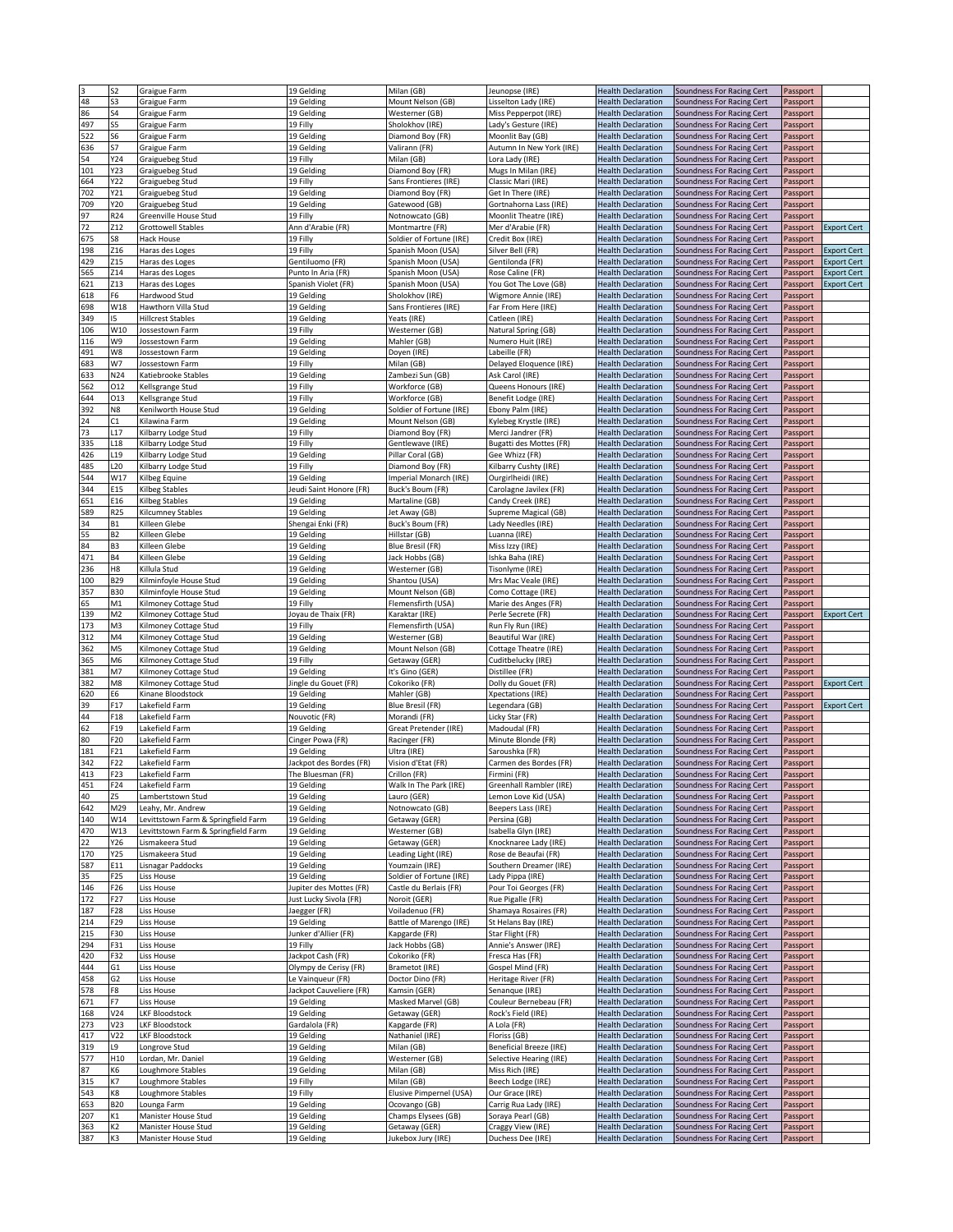|            | S2                   | Graigue Farm                               | 19 Gelding               | Milan (GB)                          | Jeunopse (IRE)                         | <b>Health Declaration</b>                              | Soundness For Racing Cert                              | Passport             |                    |
|------------|----------------------|--------------------------------------------|--------------------------|-------------------------------------|----------------------------------------|--------------------------------------------------------|--------------------------------------------------------|----------------------|--------------------|
| 48         | S3                   | Graigue Farm                               | 19 Gelding               | Mount Nelson (GB)                   | Lisselton Lady (IRE)                   | <b>Health Declaration</b>                              | Soundness For Racing Cert                              | Passport             |                    |
| 86         | S4                   | Graigue Farm                               | 19 Gelding               | Westerner (GB)                      | Miss Pepperpot (IRE)                   | <b>Health Declaration</b>                              | Soundness For Racing Cert                              | Passport             |                    |
| 497        | S5                   | Graigue Farm                               | 19 Filly                 | Sholokhov (IRE)                     | Lady's Gesture (IRE)                   | <b>Health Declaration</b>                              | Soundness For Racing Cert                              | Passport             |                    |
| 522        | S6                   | Graigue Farm                               | 19 Gelding               | Diamond Boy (FR)                    | Moonlit Bay (GB)                       | <b>Health Declaration</b>                              | Soundness For Racing Cert                              | Passport             |                    |
| 636        | S7                   | Graigue Farm                               | 19 Gelding               | Valirann (FR)                       | Autumn In New York (IRE)               | <b>Health Declaration</b>                              | Soundness For Racing Cert                              | Passport             |                    |
| 54         | Y24                  | Graiguebeg Stud                            | 19 Filly                 | Milan (GB)                          | Lora Lady (IRE)                        | <b>Health Declaration</b>                              | Soundness For Racing Cert                              | Passport             |                    |
| 101        | Y23                  | Graiguebeg Stud                            | 19 Gelding               | Diamond Boy (FR)                    | Mugs In Milan (IRE)                    | <b>Health Declaration</b>                              | Soundness For Racing Cert                              | Passport             |                    |
|            | Y22                  |                                            |                          |                                     |                                        |                                                        | Soundness For Racing Cert                              |                      |                    |
| 664        |                      | Graiguebeg Stud                            | 19 Filly                 | Sans Frontieres (IRE)               | Classic Mari (IRE)                     | <b>Health Declaration</b>                              |                                                        | Passport             |                    |
| 702        | Y21                  | Graiguebeg Stud                            | 19 Gelding               | Diamond Boy (FR)                    | Get In There (IRE)                     | <b>Health Declaration</b>                              | Soundness For Racing Cert                              | Passport             |                    |
| 709        | Y20                  | Graiguebeg Stud                            | 19 Gelding               | Gatewood (GB)                       | Gortnahorna Lass (IRE)                 | <b>Health Declaration</b>                              | Soundness For Racing Cert                              | Passport             |                    |
| 97         | R24                  | Greenville House Stud                      | 19 Filly                 | Notnowcato (GB)                     | Moonlit Theatre (IRE)                  | <b>Health Declaration</b>                              | Soundness For Racing Cert                              | Passport             |                    |
| 72         | Z12                  | <b>Grottowell Stables</b>                  | Ann d'Arabie (FR)        | Montmartre (FR)                     | Mer d'Arabie (FR)                      | <b>Health Declaration</b>                              | Soundness For Racing Cert                              | Passport             | <b>Export Cert</b> |
| 675        | S8                   | Hack House                                 | 19 Filly                 | Soldier of Fortune (IRE)            | Credit Box (IRE)                       | <b>Health Declaration</b>                              | Soundness For Racing Cert                              | Passport             |                    |
| 198        | Z16                  | Haras des Loges                            | 19 Filly                 | Spanish Moon (USA)                  | Silver Bell (FR)                       | <b>Health Declaration</b>                              | Soundness For Racing Cert                              | Passport             | <b>Export Cert</b> |
| 429        | Z15                  | Haras des Loges                            | Gentiluomo (FR)          | Spanish Moon (USA)                  | Gentilonda (FR)                        | <b>Health Declaration</b>                              | Soundness For Racing Cert                              | Passport             | <b>Export Cert</b> |
| 565        | Z14                  | Haras des Loges                            | Punto In Aria (FR)       | Spanish Moon (USA)                  | Rose Caline (FR)                       | <b>Health Declaration</b>                              | Soundness For Racing Cert                              | Passport             | <b>Export Cert</b> |
|            |                      |                                            |                          |                                     |                                        |                                                        |                                                        |                      |                    |
| 621        | Z13                  | Haras des Loges                            | Spanish Violet (FR)      | Spanish Moon (USA)                  | You Got The Love (GB)                  | <b>Health Declaration</b>                              | Soundness For Racing Cert                              | Passport             | <b>Export Cert</b> |
| 618        | F6                   | Hardwood Stud                              | 19 Gelding               | Sholokhov (IRE)                     | Wigmore Annie (IRE)                    | <b>Health Declaration</b>                              | Soundness For Racing Cert                              | Passport             |                    |
| 698        | W18                  | Hawthorn Villa Stud                        | 19 Gelding               | Sans Frontieres (IRE)               | Far From Here (IRE)                    | <b>Health Declaration</b>                              | Soundness For Racing Cert                              | Passport             |                    |
| 349        | 15                   | <b>Hillcrest Stables</b>                   | 19 Gelding               | Yeats (IRE)                         | Catleen (IRE)                          | <b>Health Declaration</b>                              | Soundness For Racing Cert                              | Passport             |                    |
| 106        | W10                  | Jossestown Farm                            | 19 Filly                 | Westerner (GB)                      | Natural Spring (GB)                    | <b>Health Declaration</b>                              | Soundness For Racing Cert                              | Passport             |                    |
| 116        | W9                   | Iossestown Farm                            | 19 Gelding               | Mahler (GB)                         | Numero Huit (IRE)                      | <b>Health Declaration</b>                              | Soundness For Racing Cert                              | Passport             |                    |
| 491        | W8                   | Jossestown Farm                            | 19 Gelding               | Doyen (IRE)                         | Labeille (FR)                          | <b>Health Declaration</b>                              | Soundness For Racing Cert                              | Passport             |                    |
| 683        | W7                   | Iossestown Farm                            | 19 Filly                 | Milan (GB)                          | Delayed Eloquence (IRE)                | <b>Health Declaration</b>                              | Soundness For Racing Cert                              | Passport             |                    |
| 633        | N24                  | Katiebrooke Stables                        | 19 Gelding               | Zambezi Sun (GB)                    | Ask Carol (IRE)                        | <b>Health Declaration</b>                              | Soundness For Racing Cert                              | Passport             |                    |
| 562        | 012                  | Kellsgrange Stud                           | 19 Filly                 | Workforce (GB)                      | Queens Honours (IRE)                   | <b>Health Declaration</b>                              | Soundness For Racing Cert                              | Passport             |                    |
|            |                      |                                            |                          |                                     |                                        |                                                        |                                                        |                      |                    |
| 644        | 013                  | Kellsgrange Stud                           | 19 Filly                 | Workforce (GB)                      | Benefit Lodge (IRE)                    | <b>Health Declaration</b>                              | Soundness For Racing Cert                              | Passport             |                    |
| 392        | N8                   | Kenilworth House Stud                      | 19 Gelding               | Soldier of Fortune (IRE)            | Ebony Palm (IRE)                       | <b>Health Declaration</b>                              | Soundness For Racing Cert                              | Passport             |                    |
| 24         | C1                   | Kilawina Farm                              | 19 Gelding               | Mount Nelson (GB)                   | Kylebeg Krystle (IRE)                  | <b>Health Declaration</b>                              | Soundness For Racing Cert                              | Passport             |                    |
| 73         | L17                  | Kilbarry Lodge Stud                        | 19 Filly                 | Diamond Boy (FR)                    | Merci Jandrer (FR)                     | <b>Health Declaration</b>                              | Soundness For Racing Cert                              | Passport             |                    |
| 335        | L18                  | Kilbarry Lodge Stud                        | 19 Filly                 | Gentlewave (IRE)                    | Bugatti des Mottes (FR)                | <b>Health Declaration</b>                              | Soundness For Racing Cert                              | Passport             |                    |
| 426        | L19                  | Kilbarry Lodge Stud                        | 19 Gelding               | Pillar Coral (GB)                   | Gee Whizz (FR)                         | <b>Health Declaration</b>                              | Soundness For Racing Cert                              | Passport             |                    |
| 485        | <b>L20</b>           | Kilbarry Lodge Stud                        | 19 Filly                 | Diamond Boy (FR)                    | Kilbarry Cushty (IRE)                  | <b>Health Declaration</b>                              | Soundness For Racing Cert                              | Passport             |                    |
| 544        | W17                  | Kilbeg Equine                              | 19 Gelding               | Imperial Monarch (IRE)              | Ourgirlheidi (IRE)                     | <b>Health Declaration</b>                              | Soundness For Racing Cert                              | Passport             |                    |
| 344        | E15                  | Kilbeg Stables                             | Jeudi Saint Honore (FR)  | Buck's Boum (FR)                    | Carolagne Javilex (FR)                 | <b>Health Declaration</b>                              | Soundness For Racing Cert                              | Passport             |                    |
| 651        | E16                  | Kilbeg Stables                             |                          | Martaline (GB)                      | Candy Creek (IRE)                      | <b>Health Declaration</b>                              |                                                        |                      |                    |
|            |                      |                                            | 19 Gelding               |                                     |                                        |                                                        | Soundness For Racing Cert                              | Passport             |                    |
| 589        | R <sub>25</sub>      | Kilcumney Stables                          | 19 Gelding               | Jet Away (GB)                       | Supreme Magical (GB)                   | <b>Health Declaration</b>                              | Soundness For Racing Cert                              | Passport             |                    |
| 34         | <b>B1</b>            | Killeen Glebe                              | Shengai Enki (FR)        | Buck's Boum (FR)                    | Lady Needles (IRE)                     | <b>Health Declaration</b>                              | Soundness For Racing Cert                              | Passport             |                    |
| 55         | <b>B2</b>            | Killeen Glebe                              | 19 Gelding               | Hillstar (GB)                       | Luanna (IRE)                           | <b>Health Declaration</b>                              | Soundness For Racing Cert                              | Passport             |                    |
| 84         | B <sub>3</sub>       | Killeen Glebe                              | 19 Gelding               | Blue Bresil (FR)                    | Miss Izzy (IRE)                        | <b>Health Declaration</b>                              | Soundness For Racing Cert                              | Passport             |                    |
| 471        | <b>B4</b>            | Killeen Glebe                              | 19 Gelding               | Jack Hobbs (GB)                     | Ishka Baha (IRE)                       | <b>Health Declaration</b>                              | Soundness For Racing Cert                              | Passport             |                    |
| 236        | H8                   | Killula Stud                               | 19 Gelding               | Westerner (GB)                      | Tisonlyme (IRE)                        | <b>Health Declaration</b>                              | Soundness For Racing Cert                              | Passport             |                    |
| 100        | B29                  | Kilminfoyle House Stud                     | 19 Gelding               | Shantou (USA)                       | Mrs Mac Veale (IRE)                    | <b>Health Declaration</b>                              | Soundness For Racing Cert                              | Passport             |                    |
| 357        | <b>B30</b>           | Kilminfoyle House Stud                     | 19 Gelding               | Mount Nelson (GB)                   | Como Cottage (IRE)                     | <b>Health Declaration</b>                              | Soundness For Racing Cert                              | Passport             |                    |
| 65         | M1                   | Kilmoney Cottage Stud                      | 19 Filly                 | Flemensfirth (USA)                  | Marie des Anges (FR)                   | <b>Health Declaration</b>                              | Soundness For Racing Cert                              | Passport             |                    |
| 139        | M <sub>2</sub>       | Kilmoney Cottage Stud                      | loyau de Thaix (FR)      | Karaktar (IRE)                      | Perle Secrete (FR)                     | <b>Health Declaration</b>                              | Soundness For Racing Cert                              | Passport             | <b>Export Cert</b> |
|            | M3                   |                                            |                          |                                     |                                        |                                                        |                                                        |                      |                    |
|            |                      |                                            |                          |                                     |                                        |                                                        |                                                        |                      |                    |
| 173        |                      | Kilmoney Cottage Stud                      | 19 Filly                 | Flemensfirth (USA)                  | Run Fly Run (IRE)                      | <b>Health Declaration</b>                              | Soundness For Racing Cert                              | Passport             |                    |
| 312        | M4                   | Kilmoney Cottage Stud                      | 19 Gelding               | Westerner (GB)                      | Beautiful War (IRE)                    | <b>Health Declaration</b>                              | Soundness For Racing Cert                              | Passport             |                    |
| 362        | M5                   | Kilmoney Cottage Stud                      | 19 Gelding               | Mount Nelson (GB)                   | Cottage Theatre (IRE)                  | <b>Health Declaration</b>                              | Soundness For Racing Cert                              | Passport             |                    |
| 365        | M6                   | Kilmoney Cottage Stud                      | 19 Filly                 | Getaway (GER)                       | Cuditbelucky (IRE)                     | <b>Health Declaration</b>                              | Soundness For Racing Cert                              | Passport             |                    |
| 381        | M7                   | Kilmoney Cottage Stud                      | 19 Gelding               | It's Gino (GER)                     | Distillee (FR)                         | <b>Health Declaration</b>                              | Soundness For Racing Cert                              | Passport             |                    |
| 382        | M8                   | Kilmoney Cottage Stud                      | Jingle du Gouet (FR)     | Cokoriko (FR)                       | Dolly du Gouet (FR)                    | <b>Health Declaration</b>                              | Soundness For Racing Cert                              | Passport             | <b>Export Cert</b> |
|            |                      | Kinane Bloodstock                          |                          | Mahler (GB)                         |                                        | <b>Health Declaration</b>                              |                                                        |                      |                    |
| 620        | E6                   |                                            | 19 Gelding               |                                     | <b>Xpectations (IRE)</b>               |                                                        | Soundness For Racing Cert                              | Passport             |                    |
| 39         | F17                  | Lakefield Farm                             | 19 Gelding               | Blue Bresil (FR)                    | Legendara (GB)                         | <b>Health Declaration</b>                              | Soundness For Racing Cert                              | Passport             | <b>Export Cert</b> |
| 44         | F18                  | Lakefield Farm                             | Nouvotic (FR)            | Morandi (FR)                        | Licky Star (FR)                        | <b>Health Declaration</b>                              | Soundness For Racing Cert                              | Passport             |                    |
| 62         | F19                  | Lakefield Farm                             | 19 Gelding               | Great Pretender (IRE)               | Madoudal (FR)                          | <b>Health Declaration</b>                              | Soundness For Racing Cert                              | Passport             |                    |
| 80         | F20                  | Lakefield Farm                             | Cinger Powa (FR)         | Racinger (FR)                       | Minute Blonde (FR)                     | <b>Health Declaration</b>                              | Soundness For Racing Cert                              | Passport             |                    |
| 181        | F21                  | akefield Farm                              | 19 Gelding               | Ultra (IRE)                         | Saroushka (FR)                         | <b>Health Declaration</b>                              | Soundness For Racing Cert                              | Passport             |                    |
| 342        | F22                  | Lakefield Farm                             | Jackpot des Bordes (FR)  | Vision d'Etat (FR)                  | Carmen des Bordes (FR)                 | <b>Health Declaration</b>                              | Soundness For Racing Cert                              | Passport             |                    |
| 413        | F23                  | Lakefield Farm                             | The Bluesman (FR)        | Crillon (FR)                        | Firmini (FR)                           | <b>Health Declaration</b>                              | Soundness For Racing Cert                              | Passport             |                    |
| 451        | F24                  | Lakefield Farm                             | 19 Gelding               | Walk In The Park (IRE)              | Greenhall Rambler (IRE)                | <b>Health Declaration</b>                              | Soundness For Racing Cert                              | Passport             |                    |
| 40         | Z5                   | Lambertstown Stud                          | 19 Gelding               | Lauro (GER)                         | Lemon Love Kid (USA)                   | <b>Health Declaration</b>                              | Soundness For Racing Cert                              | Passport             |                    |
| 642        | M29                  | Leahy, Mr. Andrew                          | 19 Gelding               | Notnowcato (GB)                     | Beepers Lass (IRE)                     | <b>Health Declaration</b>                              | Soundness For Racing Cert                              | Passport             |                    |
| 140        | W14                  | Levittstown Farm & Springfield Farm        | 19 Gelding               | Getaway (GER)                       | Persina (GB)                           | <b>Health Declaration</b>                              | Soundness For Racing Cert                              | Passport             |                    |
|            |                      |                                            |                          |                                     |                                        |                                                        | Soundness For Racing Cert                              |                      |                    |
| 470        | W13                  | Levittstown Farm & Springfield Farm        | 19 Gelding               | Westerner (GB)                      | Isabella Glyn (IRE)                    | <b>Health Declaration</b>                              |                                                        | Passport             |                    |
| 22         | Y26                  | Lismakeera Stud                            | 19 Gelding               | Getaway (GER)                       | Knocknaree Lady (IRE)                  | <b>Health Declaration</b>                              | Soundness For Racing Cert                              | Passport             |                    |
| 170        | Y25                  | Lismakeera Stud                            | 19 Gelding               | eading Light (IRE)                  | Rose de Beaufai (FR)                   | <b>Health Declaration</b>                              | Soundness For Racing Cert                              | Passport             |                    |
| 587        | E11                  | Lisnagar Paddocks                          | 19 Gelding               | Youmzain (IRE)                      | Southern Dreamer (IRE)                 | <b>Health Declaration</b>                              | Soundness For Racing Cert                              | Passport             |                    |
| 35         | F25                  | Liss House                                 | 19 Gelding               | Soldier of Fortune (IRE)            | Lady Pippa (IRE)                       | <b>Health Declaration</b>                              | Soundness For Racing Cert                              | Passport             |                    |
| 146        | F26                  | Liss House                                 | Jupiter des Mottes (FR)  | Castle du Berlais (FR)              | Pour Toi Georges (FR)                  | <b>Health Declaration</b>                              | Soundness For Racing Cert                              | Passport             |                    |
| 172        | F27                  | <b>Liss House</b>                          | Just Lucky Sivola (FR)   | Noroit (GER)                        | Rue Pigalle (FR)                       | <b>Health Declaration</b>                              | Soundness For Racing Cert                              | Passport             |                    |
| 187        | F28                  | Liss House                                 | Jaegger (FR)             | Voiladenuo (FR)                     | Shamaya Rosaires (FR)                  | <b>Health Declaration</b>                              | Soundness For Racing Cert                              | Passport             |                    |
| 214        | F29                  | Liss House                                 | 19 Gelding               | Battle of Marengo (IRE)             | St Helans Bay (IRE)                    | <b>Health Declaration</b>                              | Soundness For Racing Cert                              | Passport             |                    |
| 215        | F30                  | Liss House                                 | Junker d'Allier (FR)     | Kapgarde (FR)                       | Star Flight (FR)                       | <b>Health Declaration</b>                              | Soundness For Racing Cert                              | Passport             |                    |
|            |                      |                                            |                          |                                     |                                        |                                                        |                                                        |                      |                    |
| 294        | F31                  | Liss House                                 | 19 Filly                 | Jack Hobbs (GB)                     | Annie's Answer (IRE)                   | <b>Health Declaration</b>                              | Soundness For Racing Cert                              | Passport             |                    |
| 420        | F32                  | Liss House                                 | Jackpot Cash (FR)        | Cokoriko (FR)                       | Fresca Has (FR)                        | <b>Health Declaration</b>                              | Soundness For Racing Cert                              | Passport             |                    |
| 444        | G <sub>1</sub>       | Liss House                                 | Olympy de Cerisy (FR)    | Brametot (IRE)                      | Gospel Mind (FR)                       | <b>Health Declaration</b>                              | Soundness For Racing Cert                              | Passport             |                    |
| 458        | G <sub>2</sub>       | Liss House                                 | Le Vainqueur (FR)        | Doctor Dino (FR)                    | Heritage River (FR)                    | <b>Health Declaration</b>                              | Soundness For Racing Cert                              | Passport             |                    |
| 578        | F8                   | Liss House                                 | Jackpot Cauveliere (FR)  | Kamsin (GER)                        | Senanque (IRE)                         | <b>Health Declaration</b>                              | Soundness For Racing Cert                              | Passport             |                    |
| 671        | F7                   | Liss House                                 | 19 Gelding               | Masked Marvel (GB)                  | Couleur Bernebeau (FR)                 | <b>Health Declaration</b>                              | Soundness For Racing Cert                              | Passport             |                    |
| 168        | V24                  | <b>LKF Bloodstock</b>                      | 19 Gelding               | Getaway (GER)                       | Rock's Field (IRE)                     | <b>Health Declaration</b>                              | Soundness For Racing Cert                              | Passport             |                    |
| 273        | V23                  | LKF Bloodstock                             | Gardalola (FR)           | Kapgarde (FR)                       | A Lola (FR)                            | <b>Health Declaration</b>                              | Soundness For Racing Cert                              | Passport             |                    |
| 417        | V <sub>22</sub>      | LKF Bloodstock                             | 19 Gelding               | Nathaniel (IRE)                     | Floriss (GB)                           | <b>Health Declaration</b>                              | Soundness For Racing Cert                              | Passport             |                    |
| 319        | L9                   | Longrove Stud                              | 19 Gelding               | Milan (GB)                          | <b>Beneficial Breeze (IRE)</b>         | <b>Health Declaration</b>                              | Soundness For Racing Cert                              | Passport             |                    |
|            | H10                  | Lordan, Mr. Daniel                         |                          | Westerner (GB)                      | Selective Hearing (IRE)                | <b>Health Declaration</b>                              |                                                        |                      |                    |
| 577        |                      |                                            | 19 Gelding               |                                     |                                        |                                                        | Soundness For Racing Cert                              | Passport             |                    |
| 87         | K6                   | Loughmore Stables                          | 19 Gelding               | Milan (GB)                          | Miss Rich (IRE)                        | <b>Health Declaration</b>                              | Soundness For Racing Cert                              | Passport             |                    |
| 315        | K7                   | Loughmore Stables                          | 19 Filly                 | Milan (GB)                          | Beech Lodge (IRE)                      | <b>Health Declaration</b>                              | Soundness For Racing Cert                              | Passport             |                    |
| 543        | K8                   | Loughmore Stables                          | 19 Filly                 | Elusive Pimpernel (USA)             | Our Grace (IRE)                        | <b>Health Declaration</b>                              | Soundness For Racing Cert                              | Passport             |                    |
| 653        | <b>B20</b>           | Lounga Farm                                | 19 Gelding               | Ocovango (GB)                       | Carrig Rua Lady (IRE)                  | <b>Health Declaration</b>                              | Soundness For Racing Cert                              | Passport             |                    |
| 207        | K1                   | Manister House Stud                        | 19 Gelding               | Champs Elysees (GB)                 | Soraya Pearl (GB)                      | <b>Health Declaration</b>                              | Soundness For Racing Cert                              | Passport             |                    |
| 363<br>387 | K <sub>2</sub><br>K3 | Manister House Stud<br>Manister House Stud | 19 Gelding<br>19 Gelding | Getaway (GER)<br>Jukebox Jury (IRE) | Craggy View (IRE)<br>Duchess Dee (IRE) | <b>Health Declaration</b><br><b>Health Declaration</b> | Soundness For Racing Cert<br>Soundness For Racing Cert | Passport<br>Passport |                    |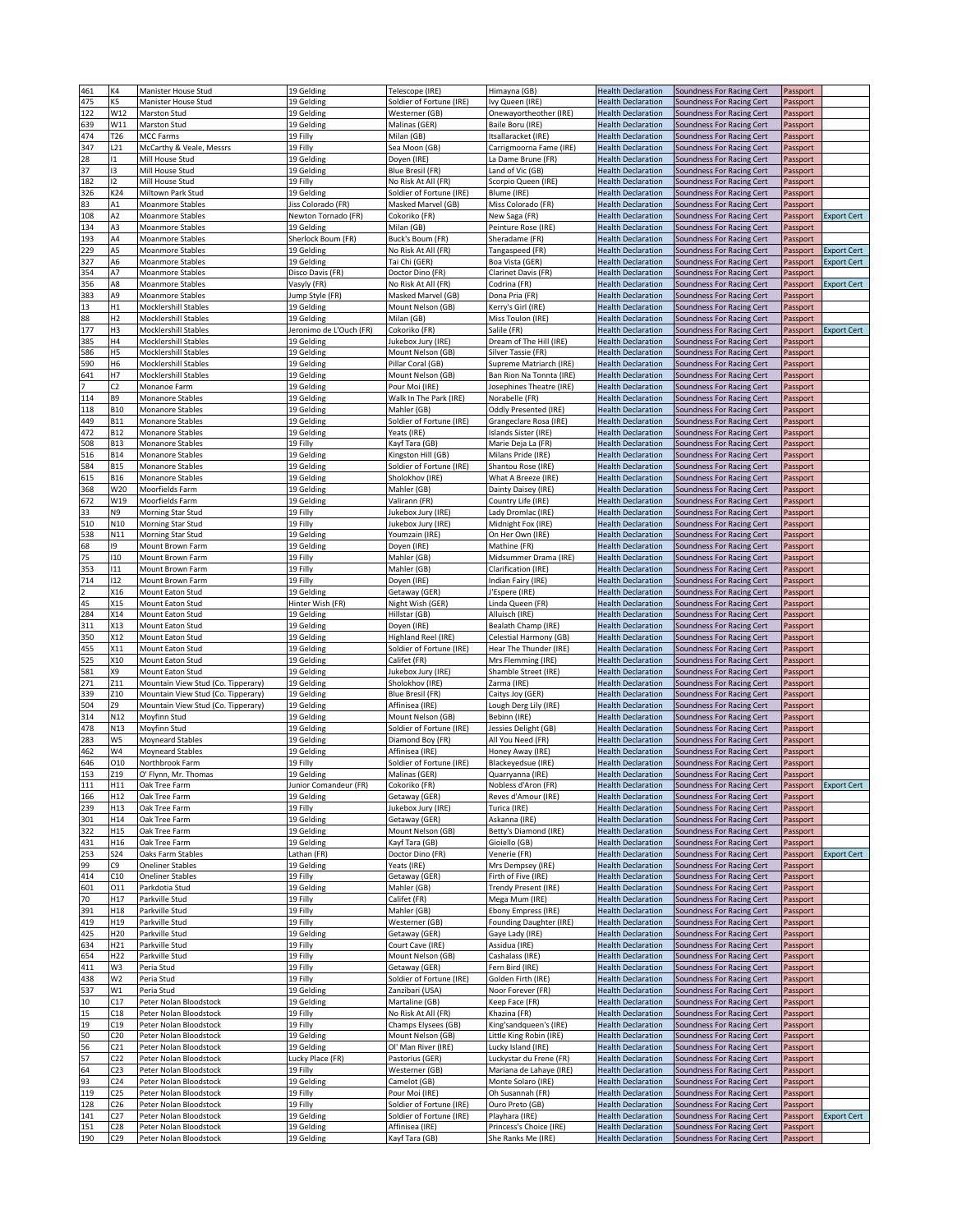| 461 | K4              | Manister House Stud                | 19 Gelding              | Telescope (IRE)          | Himayna (GB)             | <b>Health Declaration</b> | Soundness For Racing Cert | Passport |                    |
|-----|-----------------|------------------------------------|-------------------------|--------------------------|--------------------------|---------------------------|---------------------------|----------|--------------------|
| 475 | K5              | Manister House Stud                | 19 Gelding              | Soldier of Fortune (IRE) | Ivy Queen (IRE)          | <b>Health Declaration</b> | Soundness For Racing Cert | Passport |                    |
| 122 | W12             | Marston Stud                       | 19 Gelding              | Westerner (GB)           | Onewayortheother (IRE)   | <b>Health Declaration</b> | Soundness For Racing Cert | Passport |                    |
| 639 | W11             | Marston Stud                       | 19 Gelding              | Malinas (GER)            | Baile Boru (IRE)         | <b>Health Declaration</b> | Soundness For Racing Cert | Passport |                    |
| 474 | T <sub>26</sub> |                                    | 19 Filly                |                          |                          |                           | Soundness For Racing Cert | Passport |                    |
|     |                 | MCC Farms                          |                         | Milan (GB)               | Itsallaracket (IRE)      | <b>Health Declaration</b> |                           |          |                    |
| 347 | L <sub>21</sub> | McCarthy & Veale, Messrs           | 19 Filly                | Sea Moon (GB)            | Carrigmoorna Fame (IRE)  | <b>Health Declaration</b> | Soundness For Racing Cert | Passport |                    |
| 28  | $\mathbf{1}$    | Mill House Stud                    | 19 Gelding              | Doyen (IRE)              | La Dame Brune (FR)       | <b>Health Declaration</b> | Soundness For Racing Cert | Passport |                    |
| 37  | 13              | Mill House Stud                    | 19 Gelding              | Blue Bresil (FR)         | Land of Vic (GB)         | <b>Health Declaration</b> | Soundness For Racing Cert | Passport |                    |
| 182 | 12              | Mill House Stud                    | 19 Filly                | No Risk At All (FR)      | Scorpio Queen (IRE)      | <b>Health Declaration</b> | Soundness For Racing Cert | Passport |                    |
|     |                 |                                    |                         |                          |                          |                           |                           |          |                    |
| 326 | K24             | Miltown Park Stud                  | 19 Gelding              | Soldier of Fortune (IRE) | Blume (IRE)              | <b>Health Declaration</b> | Soundness For Racing Cert | Passport |                    |
| 83  | A1              | Moanmore Stables                   | Jiss Colorado (FR)      | Masked Marvel (GB)       | Miss Colorado (FR)       | <b>Health Declaration</b> | Soundness For Racing Cert | Passport |                    |
| 108 | A2              | Moanmore Stables                   | Newton Tornado (FR)     | Cokoriko (FR)            | New Saga (FR)            | <b>Health Declaration</b> | Soundness For Racing Cert | Passport | <b>Export Cert</b> |
| 134 | A3              | <b>Moanmore Stables</b>            | 19 Gelding              | Milan (GB)               | Peinture Rose (IRE)      | <b>Health Declaration</b> | Soundness For Racing Cert | Passport |                    |
|     |                 |                                    |                         |                          |                          |                           |                           |          |                    |
| 193 | A4              | Moanmore Stables                   | Sherlock Boum (FR)      | Buck's Boum (FR)         | Sheradame (FR)           | <b>Health Declaration</b> | Soundness For Racing Cert | Passport |                    |
| 229 | A5              | <b>Moanmore Stables</b>            | 19 Gelding              | No Risk At All (FR)      | Tangaspeed (FR)          | <b>Health Declaration</b> | Soundness For Racing Cert | Passport | <b>Export Cert</b> |
| 327 | A6              | <b>Moanmore Stables</b>            | 19 Gelding              | Tai Chi (GER)            | Boa Vista (GER)          | <b>Health Declaration</b> | Soundness For Racing Cert | Passport | <b>Export Cert</b> |
| 354 | A7              | <b>Moanmore Stables</b>            | Disco Davis (FR)        | Doctor Dino (FR)         | Clarinet Davis (FR)      | <b>Health Declaration</b> | Soundness For Racing Cert | Passport |                    |
| 356 | A8              | <b>Moanmore Stables</b>            |                         | No Risk At All (FR)      | Codrina (FR)             | <b>Health Declaration</b> |                           | Passport |                    |
|     |                 |                                    | Vasyly (FR)             |                          |                          |                           | Soundness For Racing Cert |          | <b>Export Cert</b> |
| 383 | A9              | <b>Moanmore Stables</b>            | Jump Style (FR)         | Masked Marvel (GB)       | Dona Pria (FR)           | <b>Health Declaration</b> | Soundness For Racing Cert | Passport |                    |
| 13  | Н1              | Mocklershill Stables               | 19 Gelding              | Mount Nelson (GB)        | Kerry's Girl (IRE)       | <b>Health Declaration</b> | Soundness For Racing Cert | Passport |                    |
| 88  | H <sub>2</sub>  | <b>Mocklershill Stables</b>        | 19 Gelding              | Milan (GB)               | Miss Toulon (IRE)        | <b>Health Declaration</b> | Soundness For Racing Cert | Passport |                    |
| 177 | H3              | Mocklershill Stables               | Jeronimo de L'Ouch (FR) | Cokoriko (FR)            | Salile (FR)              |                           |                           |          |                    |
|     |                 |                                    |                         |                          |                          | <b>Health Declaration</b> | Soundness For Racing Cert | Passport | <b>Export Cert</b> |
| 385 | Η4              | Mocklershill Stables               | 19 Gelding              | Jukebox Jury (IRE)       | Dream of The Hill (IRE)  | <b>Health Declaration</b> | Soundness For Racing Cert | Passport |                    |
| 586 | Н5              | Mocklershill Stables               | 19 Gelding              | Mount Nelson (GB)        | Silver Tassie (FR)       | <b>Health Declaration</b> | Soundness For Racing Cert | Passport |                    |
| 590 | H6              | <b>Mocklershill Stables</b>        | 19 Gelding              | Pillar Coral (GB)        | Supreme Matriarch (IRE)  | <b>Health Declaration</b> | Soundness For Racing Cert | Passport |                    |
| 641 | Η7              | <b>Mocklershill Stables</b>        | 19 Gelding              | Mount Nelson (GB)        | Ban Rion Na Tonnta (IRE) | <b>Health Declaration</b> | Soundness For Racing Cert | Passport |                    |
|     |                 |                                    |                         |                          |                          |                           |                           |          |                    |
|     | C <sub>2</sub>  | Monanoe Farm                       | 19 Gelding              | Pour Moi (IRE)           | Josephines Theatre (IRE) | <b>Health Declaration</b> | Soundness For Racing Cert | Passport |                    |
| 114 | В9              | <b>Monanore Stables</b>            | 19 Gelding              | Walk In The Park (IRE)   | Norabelle (FR)           | <b>Health Declaration</b> | Soundness For Racing Cert | Passport |                    |
| 118 | <b>B10</b>      | <b>Monanore Stables</b>            | 19 Gelding              | Mahler (GB)              | Oddly Presented (IRE)    | <b>Health Declaration</b> | Soundness For Racing Cert | Passport |                    |
| 449 | <b>B11</b>      | Monanore Stables                   | 19 Gelding              | Soldier of Fortune (IRE) | Grangeclare Rosa (IRE)   | <b>Health Declaration</b> | Soundness For Racing Cert | Passport |                    |
|     |                 |                                    |                         |                          |                          |                           |                           |          |                    |
| 472 | <b>B12</b>      | Monanore Stables                   | 19 Gelding              | Yeats (IRE)              | Islands Sister (IRE)     | <b>Health Declaration</b> | Soundness For Racing Cert | Passport |                    |
| 508 | <b>B13</b>      | Monanore Stables                   | 19 Filly                | Kayf Tara (GB)           | Marie Deja La (FR)       | <b>Health Declaration</b> | Soundness For Racing Cert | Passport |                    |
| 516 | <b>B14</b>      | <b>Monanore Stables</b>            | 19 Gelding              | Kingston Hill (GB)       | Milans Pride (IRE)       | <b>Health Declaration</b> | Soundness For Racing Cert | Passport |                    |
| 584 | <b>B15</b>      | <b>Monanore Stables</b>            | 19 Gelding              | Soldier of Fortune (IRE) | Shantou Rose (IRE)       | <b>Health Declaration</b> | Soundness For Racing Cert | Passport |                    |
|     |                 |                                    |                         |                          |                          |                           |                           |          |                    |
| 615 | <b>B16</b>      | <b>Monanore Stables</b>            | 19 Gelding              | Sholokhov (IRE)          | What A Breeze (IRE)      | <b>Health Declaration</b> | Soundness For Racing Cert | Passport |                    |
| 368 | W20             | Moorfields Farm                    | 19 Gelding              | Mahler (GB)              | Dainty Daisey (IRE)      | <b>Health Declaration</b> | Soundness For Racing Cert | Passport |                    |
| 672 | W19             | Moorfields Farm                    | 19 Gelding              | Valirann (FR)            | Country Life (IRE)       | <b>Health Declaration</b> | Soundness For Racing Cert | Passport |                    |
| 33  | N9              | Morning Star Stud                  | 19 Filly                | Jukebox Jury (IRE)       | Lady Dromlac (IRE        | <b>Health Declaration</b> |                           | Passport |                    |
|     |                 |                                    |                         |                          |                          |                           | Soundness For Racing Cert |          |                    |
| 510 | N <sub>10</sub> | Morning Star Stud                  | 19 Filly                | Jukebox Jury (IRE)       | Midnight Fox (IRE)       | <b>Health Declaration</b> | Soundness For Racing Cert | Passport |                    |
| 538 | N11             | Morning Star Stud                  | 19 Gelding              | Youmzain (IRE)           | On Her Own (IRE)         | <b>Health Declaration</b> | Soundness For Racing Cert | Passport |                    |
| 68  | 19              | Mount Brown Farm                   | 19 Gelding              | Doyen (IRE)              | Mathine (FR)             | <b>Health Declaration</b> | Soundness For Racing Cert | Passport |                    |
| 75  | 110             | Mount Brown Farm                   | 19 Filly                | Mahler (GB)              | Midsummer Drama (IRE)    | <b>Health Declaration</b> |                           | Passport |                    |
|     |                 |                                    |                         |                          |                          |                           | Soundness For Racing Cert |          |                    |
| 353 | 11              | Mount Brown Farm                   | 19 Filly                | Mahler (GB)              | Clarification (IRE)      | <b>Health Declaration</b> | Soundness For Racing Cert | Passport |                    |
| 714 | 112             | Mount Brown Farm                   | 19 Filly                | Doyen (IRE)              | Indian Fairy (IRE)       | <b>Health Declaration</b> | Soundness For Racing Cert | Passport |                    |
|     | X16             | Mount Eaton Stud                   | 19 Gelding              | Getaway (GER)            | J'Espere (IRE)           | <b>Health Declaration</b> | Soundness For Racing Cert | Passport |                    |
| 45  | X15             | Mount Eaton Stud                   | Hinter Wish (FR)        | Night Wish (GER)         | Linda Queen (FR)         | <b>Health Declaration</b> | Soundness For Racing Cert | Passport |                    |
|     |                 |                                    |                         |                          |                          |                           |                           |          |                    |
| 284 | X14             | Mount Eaton Stud                   | 19 Gelding              | Hillstar (GB)            | Alluisch (IRE)           | <b>Health Declaration</b> | Soundness For Racing Cert | Passport |                    |
| 311 | X13             | Mount Eaton Stud                   | 19 Gelding              | Doyen (IRE)              | Bealath Champ (IRE)      | <b>Health Declaration</b> | Soundness For Racing Cert | Passport |                    |
| 350 | X12             | Mount Eaton Stud                   | 19 Gelding              | Highland Reel (IRE)      | Celestial Harmony (GB)   | <b>Health Declaration</b> | Soundness For Racing Cert | Passport |                    |
| 455 | X11             | Mount Eaton Stud                   | 19 Gelding              | Soldier of Fortune (IRE) | Hear The Thunder (IRE)   | <b>Health Declaration</b> | Soundness For Racing Cert | Passport |                    |
|     | X10             | Mount Eaton Stud                   | 19 Gelding              | Califet (FR)             | Mrs Flemming (IRE)       | <b>Health Declaration</b> |                           |          |                    |
| 525 |                 |                                    |                         |                          |                          |                           | Soundness For Racing Cert | Passport |                    |
| 581 | Χ9              | Mount Eaton Stud                   | 19 Gelding              | Jukebox Jury (IRE)       | Shamble Street (IRE)     | <b>Health Declaration</b> | Soundness For Racing Cert | Passport |                    |
| 271 | Z11             | Mountain View Stud (Co. Tipperary) | 19 Gelding              | Sholokhov (IRE)          | Zarma (IRE)              | <b>Health Declaration</b> | Soundness For Racing Cert | Passport |                    |
| 339 | Z10             | Mountain View Stud (Co. Tipperary) | 19 Gelding              | Blue Bresil (FR)         | Caitys Joy (GER)         | <b>Health Declaration</b> | Soundness For Racing Cert | Passport |                    |
| 504 | Z9              | Mountain View Stud (Co. Tipperary) | 19 Gelding              | Affinisea (IRE)          |                          | <b>Health Declaration</b> | Soundness For Racing Cert |          |                    |
|     |                 |                                    |                         |                          | Lough Derg Lily (IRE)    |                           |                           | Passport |                    |
| 314 | N12             | Moyfinn Stud                       | 19 Gelding              | Mount Nelson (GB)        | Bebinn (IRE)             | <b>Health Declaration</b> | Soundness For Racing Cert | Passport |                    |
| 478 | N13             | Moyfinn Stud                       | 19 Gelding              | Soldier of Fortune (IRE) | Jessies Delight (GB)     | <b>Health Declaration</b> | Soundness For Racing Cert | Passport |                    |
| 283 | W5              | <b>Moyneard Stables</b>            | 19 Gelding              | Diamond Boy (FR)         | All You Need (FR)        | <b>Health Declaration</b> | Soundness For Racing Cert | Passport |                    |
| 462 | W4              | Moyneard Stables                   | 19 Gelding              | Affinisea (IRE)          | Honey Away (IRE)         | <b>Health Declaration</b> | Soundness For Racing Cert | Passport |                    |
|     |                 |                                    |                         |                          |                          |                           |                           |          |                    |
| 646 | 010             | Northbrook Farm                    | 19 Filly                | Soldier of Fortune (IRE) | Blackeyedsue (IRE)       | <b>Health Declaration</b> | Soundness For Racing Cert | Passport |                    |
| 153 | Z <sub>19</sub> | O' Flynn, Mr. Thomas               | 19 Gelding              | Malinas (GER)            | Quarryanna (IRE)         | <b>Health Declaration</b> | Soundness For Racing Cert | Passport |                    |
| 111 | H11             | Oak Tree Farm                      | Junior Comandeur (FR)   | Cokoriko (FR)            | Nobless d'Aron (FR)      | <b>Health Declaration</b> | Soundness For Racing Cert | Passport | <b>Export Cert</b> |
| 166 | H12             | Oak Tree Farm                      | 19 Gelding              | Getaway (GER)            | Reves d'Amour (IRE)      | <b>Health Declaration</b> | Soundness For Racing Cert | Passport |                    |
| 239 | H13             | Oak Tree Farm                      | 19 Filly                | lukebox Jury (IRE)       |                          | <b>Health Declaration</b> | Soundness For Racing Cert |          |                    |
|     |                 |                                    |                         |                          | Turica (IRE)             |                           |                           | Passport |                    |
| 301 | H14             | Oak Tree Farm                      | 19 Gelding              | Getaway (GER)            | Askanna (IRE)            | <b>Health Declaration</b> | Soundness For Racing Cert | Passport |                    |
| 322 | H15             | Oak Tree Farm                      | 19 Gelding              | Mount Nelson (GB)        | Betty's Diamond (IRE)    | <b>Health Declaration</b> | Soundness For Racing Cert | Passport |                    |
| 431 | H <sub>16</sub> | Oak Tree Farm                      | 19 Gelding              | Kayf Tara (GB)           | Gioiello (GB)            | <b>Health Declaration</b> | Soundness For Racing Cert | Passport |                    |
| 253 | <b>S24</b>      | Oaks Farm Stables                  | Lathan (FR)             | Doctor Dino (FR)         | Venerie (FR)             | <b>Health Declaration</b> | Soundness For Racing Cert | Passport | <b>Export Cert</b> |
|     |                 |                                    |                         |                          |                          |                           |                           |          |                    |
| 99  | C9              | <b>Oneliner Stables</b>            | 19 Gelding              | Yeats (IRE)              | Mrs Dempsey (IRE)        | <b>Health Declaration</b> | Soundness For Racing Cert | Passport |                    |
| 414 | C10             | <b>Oneliner Stables</b>            | 19 Filly                | Getaway (GER)            | Firth of Five (IRE)      | <b>Health Declaration</b> | Soundness For Racing Cert | Passport |                    |
| 601 | 011             | Parkdotia Stud                     | 19 Gelding              | Mahler (GB)              | Trendy Present (IRE)     | <b>Health Declaration</b> | Soundness For Racing Cert | Passport |                    |
| 70  | H17             | Parkville Stud                     | 19 Filly                | Califet (FR)             | Mega Mum (IRE)           | <b>Health Declaration</b> | Soundness For Racing Cert | Passport |                    |
| 391 | H18             | Parkville Stud                     | 19 Filly                | Mahler (GB)              | Ebony Empress (IRE)      | <b>Health Declaration</b> | Soundness For Racing Cert |          |                    |
|     |                 |                                    |                         |                          |                          |                           |                           | Passport |                    |
| 419 | H19             | Parkville Stud                     | 19 Filly                | Westerner (GB)           | Founding Daughter (IRE)  | <b>Health Declaration</b> | Soundness For Racing Cert | Passport |                    |
| 425 | H20             | Parkville Stud                     | 19 Gelding              | Getaway (GER)            | Gaye Lady (IRE)          | <b>Health Declaration</b> | Soundness For Racing Cert | Passport |                    |
| 634 | H21             | Parkville Stud                     | 19 Filly                | Court Cave (IRE)         | Assidua (IRE)            | <b>Health Declaration</b> | Soundness For Racing Cert | Passport |                    |
| 654 | H22             | Parkville Stud                     | 19 Filly                | Mount Nelson (GB)        | Cashalass (IRE)          | <b>Health Declaration</b> | Soundness For Racing Cert | Passport |                    |
|     |                 |                                    |                         |                          |                          |                           |                           |          |                    |
| 411 | W3              | Peria Stud                         | 19 Filly                | Getaway (GER)            | Fern Bird (IRE)          | <b>Health Declaration</b> | Soundness For Racing Cert | Passport |                    |
| 438 | W <sub>2</sub>  | Peria Stud                         | 19 Filly                | Soldier of Fortune (IRE) | Golden Firth (IRE)       | <b>Health Declaration</b> | Soundness For Racing Cert | Passport |                    |
| 537 | W1              | Peria Stud                         | 19 Gelding              | Zanzibari (USA)          | Noor Forever (FR)        | <b>Health Declaration</b> | Soundness For Racing Cert | Passport |                    |
| 10  | C17             | Peter Nolan Bloodstock             | 19 Gelding              | Martaline (GB)           | Keep Face (FR)           | <b>Health Declaration</b> | Soundness For Racing Cert | Passport |                    |
| 15  |                 |                                    | 19 Filly                |                          |                          |                           |                           |          |                    |
|     |                 |                                    |                         | No Risk At All (FR)      | Khazina (FR)             | <b>Health Declaration</b> | Soundness For Racing Cert | Passport |                    |
|     | C18             | Peter Nolan Bloodstock             |                         |                          |                          |                           |                           |          |                    |
| 19  | C19             | Peter Nolan Bloodstock             | 19 Filly                | Champs Elysees (GB)      | King'sandqueen's (IRE)   | <b>Health Declaration</b> | Soundness For Racing Cert | Passport |                    |
| 50  | C20             | Peter Nolan Bloodstock             | 19 Gelding              | Mount Nelson (GB)        |                          | <b>Health Declaration</b> | Soundness For Racing Cert | Passport |                    |
|     |                 |                                    |                         |                          | Little King Robin (IRE)  |                           |                           |          |                    |
| 56  | C <sub>21</sub> | Peter Nolan Bloodstock             | 19 Gelding              | Ol' Man River (IRE)      | Lucky Island (IRE)       | <b>Health Declaration</b> | Soundness For Racing Cert | Passport |                    |
| 57  | C22             | Peter Nolan Bloodstock             | Lucky Place (FR)        | Pastorius (GER)          | Luckystar du Frene (FR)  | <b>Health Declaration</b> | Soundness For Racing Cert | Passport |                    |
| 64  | C23             | Peter Nolan Bloodstock             | 19 Filly                | Westerner (GB)           | Mariana de Lahaye (IRE)  | <b>Health Declaration</b> | Soundness For Racing Cert | Passport |                    |
| 93  | C <sub>24</sub> | Peter Nolan Bloodstock             | 19 Gelding              | Camelot (GB)             | Monte Solaro (IRE)       | <b>Health Declaration</b> | Soundness For Racing Cert | Passport |                    |
|     |                 |                                    |                         |                          |                          |                           |                           |          |                    |
| 119 | C25             | Peter Nolan Bloodstock             | 19 Filly                | Pour Moi (IRE)           | Oh Susannah (FR)         | <b>Health Declaration</b> | Soundness For Racing Cert | Passport |                    |
| 128 | C26             | Peter Nolan Bloodstock             | 19 Filly                | Soldier of Fortune (IRE) | Ouro Preto (GB)          | <b>Health Declaration</b> | Soundness For Racing Cert | Passport |                    |
| 141 | C27             | Peter Nolan Bloodstock             | 19 Gelding              | Soldier of Fortune (IRE) | Playhara (IRE)           | <b>Health Declaration</b> | Soundness For Racing Cert | Passport | <b>Export Cert</b> |
| 151 | C28             | Peter Nolan Bloodstock             | 19 Gelding              | Affinisea (IRE)          | Princess's Choice (IRE)  | <b>Health Declaration</b> | Soundness For Racing Cert | Passport |                    |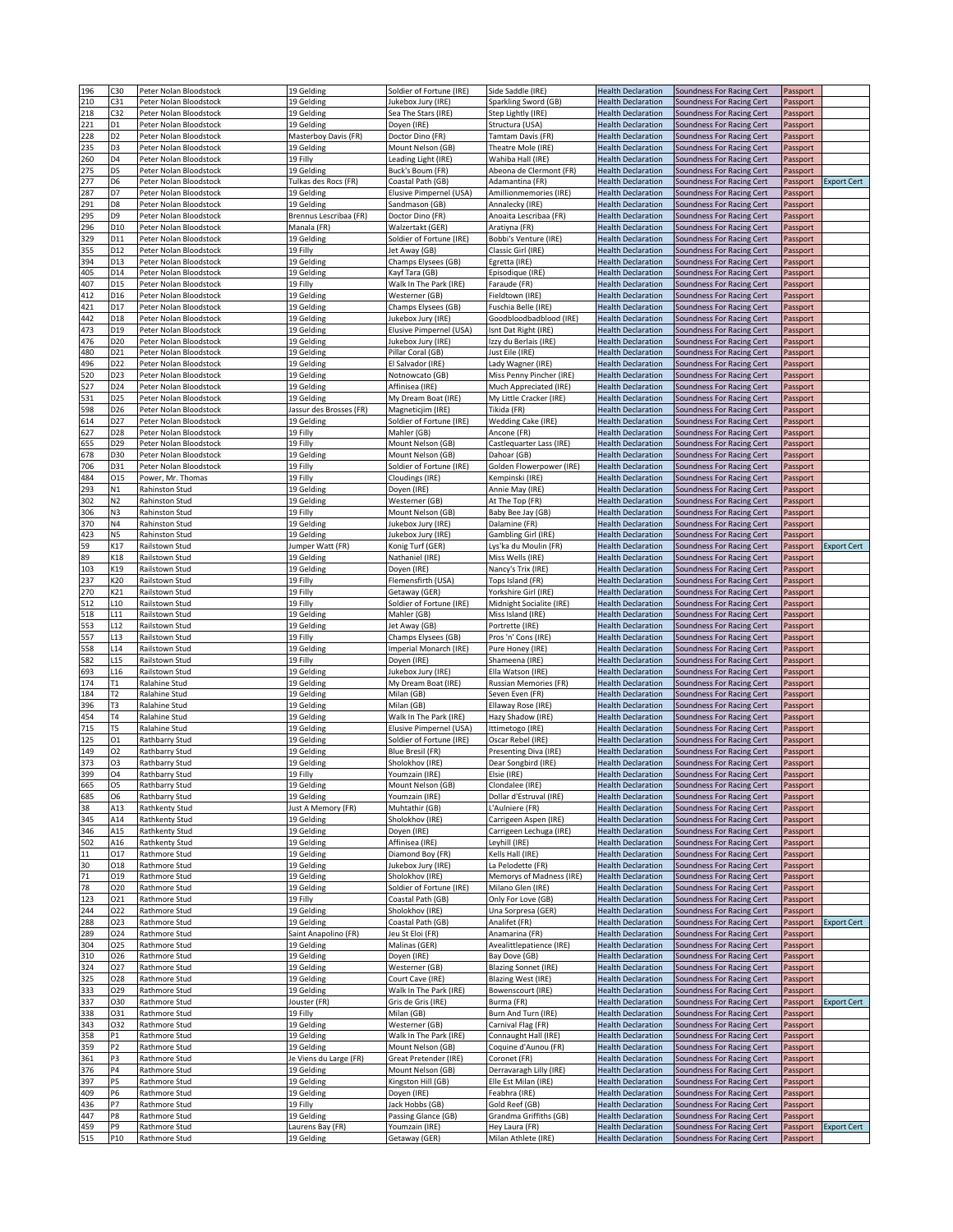| 196        | C30             |                                                  |                                |                                          |                                       |                                                        |                                                        |                      |                    |
|------------|-----------------|--------------------------------------------------|--------------------------------|------------------------------------------|---------------------------------------|--------------------------------------------------------|--------------------------------------------------------|----------------------|--------------------|
| 210        | C31             | Peter Nolan Bloodstock<br>Peter Nolan Bloodstock | 19 Gelding<br>19 Gelding       | Soldier of Fortune (IRE)                 | Side Saddle (IRE)                     | <b>Health Declaration</b><br><b>Health Declaration</b> | Soundness For Racing Cert                              | Passport             |                    |
|            |                 |                                                  |                                | Jukebox Jury (IRE)                       | Sparkling Sword (GB)                  |                                                        | Soundness For Racing Cert                              | Passport             |                    |
| 218        | C32             | Peter Nolan Bloodstock                           | 19 Gelding                     | Sea The Stars (IRE)                      | Step Lightly (IRE)                    | <b>Health Declaration</b>                              | Soundness For Racing Cert                              | Passport             |                    |
| 221        | D1              | Peter Nolan Bloodstock                           | 19 Gelding                     | Doyen (IRE)                              | Structura (USA)                       | <b>Health Declaration</b>                              | Soundness For Racing Cert                              | Passport             |                    |
| 228        | D <sub>2</sub>  | Peter Nolan Bloodstock                           | Masterboy Davis (FR)           | Doctor Dino (FR)                         | Tamtam Davis (FR)                     | <b>Health Declaration</b>                              | Soundness For Racing Cert                              | Passport             |                    |
| 235        | D <sub>3</sub>  | Peter Nolan Bloodstock                           | 19 Gelding                     | Mount Nelson (GB)                        | Theatre Mole (IRE)                    | <b>Health Declaration</b>                              | Soundness For Racing Cert                              | Passport             |                    |
| 260        | D4              | Peter Nolan Bloodstock                           | 19 Filly                       | Leading Light (IRE)                      | Wahiba Hall (IRE)                     | <b>Health Declaration</b>                              | Soundness For Racing Cert                              | Passport             |                    |
| 275        | D <sub>5</sub>  | Peter Nolan Bloodstock                           | 19 Gelding                     | Buck's Boum (FR)                         | Abeona de Clermont (FR)               | <b>Health Declaration</b>                              | Soundness For Racing Cert                              | Passport             |                    |
| 277        | D <sub>6</sub>  | Peter Nolan Bloodstock                           | Tulkas des Rocs (FR)           | Coastal Path (GB)                        | Adamantina (FR)                       | <b>Health Declaration</b>                              | Soundness For Racing Cert                              | Passport             | <b>Export Cert</b> |
| 287        | D7              | Peter Nolan Bloodstock                           | 19 Gelding                     | Elusive Pimpernel (USA)                  | Amillionmemories (IRE)                | <b>Health Declaration</b>                              | Soundness For Racing Cert                              | Passport             |                    |
| 291        | D8              | Peter Nolan Bloodstock                           | 19 Gelding                     | Sandmason (GB)                           | Annalecky (IRE)                       | <b>Health Declaration</b>                              | Soundness For Racing Cert                              | Passport             |                    |
| 295        | D9              | Peter Nolan Bloodstock                           | Brennus Lescribaa (FR)         | Doctor Dino (FR)                         | Anoaita Lescribaa (FR)                | <b>Health Declaration</b>                              | Soundness For Racing Cert                              | Passport             |                    |
| 296        | D10             | Peter Nolan Bloodstock                           | Manala (FR)                    | Walzertakt (GER)                         | Aratiyna (FR)                         | <b>Health Declaration</b>                              | Soundness For Racing Cert                              | Passport             |                    |
| 329        | D11             | Peter Nolan Bloodstock                           | 19 Gelding                     | Soldier of Fortune (IRE)                 | Bobbi's Venture (IRE)                 | <b>Health Declaration</b>                              | Soundness For Racing Cert                              | Passport             |                    |
| 355        | D12             | Peter Nolan Bloodstock                           | 19 Filly                       | Jet Away (GB)                            | Classic Girl (IRE)                    | <b>Health Declaration</b>                              | Soundness For Racing Cert                              | Passport             |                    |
| 394        | D13             | Peter Nolan Bloodstock                           | 19 Gelding                     | Champs Elysees (GB)                      | Egretta (IRE)                         | <b>Health Declaration</b>                              | Soundness For Racing Cert                              | Passport             |                    |
| 405        | D14             | Peter Nolan Bloodstock                           | 19 Gelding                     | Kayf Tara (GB)                           | Episodique (IRE)                      | <b>Health Declaration</b>                              | Soundness For Racing Cert                              | Passport             |                    |
| 407        | D <sub>15</sub> | Peter Nolan Bloodstock                           | 19 Filly                       | Walk In The Park (IRE)                   | Faraude (FR)                          | <b>Health Declaration</b>                              | Soundness For Racing Cert                              | Passport             |                    |
| 412        | D16             | Peter Nolan Bloodstock                           | 19 Gelding                     | Westerner (GB)                           | Fieldtown (IRE)                       | <b>Health Declaration</b>                              |                                                        |                      |                    |
|            |                 |                                                  |                                |                                          |                                       |                                                        | Soundness For Racing Cert                              | Passport             |                    |
| 421        | D17             | Peter Nolan Bloodstock                           | 19 Gelding                     | Champs Elysees (GB)                      | Fuschia Belle (IRE)                   | <b>Health Declaration</b>                              | Soundness For Racing Cert                              | Passport             |                    |
| 442        | D18             | Peter Nolan Bloodstock                           | 19 Gelding                     | Jukebox Jury (IRE)                       | Goodbloodbadblood (IRE)               | <b>Health Declaration</b>                              | Soundness For Racing Cert                              | Passport             |                    |
| 473        | D19             | Peter Nolan Bloodstock                           | 19 Gelding                     | Elusive Pimpernel (USA)                  | Isnt Dat Right (IRE)                  | <b>Health Declaration</b>                              | Soundness For Racing Cert                              | Passport             |                    |
| 476        | D20             | Peter Nolan Bloodstock                           | 19 Gelding                     | Jukebox Jury (IRE)                       | Izzy du Berlais (IRE)                 | <b>Health Declaration</b>                              | Soundness For Racing Cert                              | Passport             |                    |
| 480        | D21             | Peter Nolan Bloodstock                           | 19 Gelding                     | Pillar Coral (GB)                        | Just Eile (IRE)                       | <b>Health Declaration</b>                              | Soundness For Racing Cert                              | Passport             |                    |
| 496        | D22             | Peter Nolan Bloodstock                           | 19 Gelding                     | El Salvador (IRE)                        | Lady Wagner (IRE)                     | <b>Health Declaration</b>                              | Soundness For Racing Cert                              | Passport             |                    |
| 520        | D23             | Peter Nolan Bloodstock                           | 19 Gelding                     | Notnowcato (GB)                          | Miss Penny Pincher (IRE)              | <b>Health Declaration</b>                              | Soundness For Racing Cert                              | Passport             |                    |
| 527        | D24             | Peter Nolan Bloodstock                           | 19 Gelding                     | Affinisea (IRE)                          | Much Appreciated (IRE)                | <b>Health Declaration</b>                              | Soundness For Racing Cert                              | Passport             |                    |
| 531        | D <sub>25</sub> | Peter Nolan Bloodstock                           | 19 Gelding                     | My Dream Boat (IRE)                      | My Little Cracker (IRE)               | <b>Health Declaration</b>                              | Soundness For Racing Cert                              | Passport             |                    |
| 598        | D26             | Peter Nolan Bloodstock                           | Jassur des Brosses (FR)        | Magneticjim (IRE)                        | Tikida (FR)                           | <b>Health Declaration</b>                              | Soundness For Racing Cert                              | Passport             |                    |
| 614        | D <sub>27</sub> | Peter Nolan Bloodstock                           | 19 Gelding                     | Soldier of Fortune (IRE)                 | Wedding Cake (IRE)                    | <b>Health Declaration</b>                              | Soundness For Racing Cert                              | Passport             |                    |
| 627        | D28             | Peter Nolan Bloodstock                           | 19 Filly                       | Mahler (GB)                              | Ancone (FR)                           | <b>Health Declaration</b>                              | Soundness For Racing Cert                              | Passport             |                    |
| 655        | D29             | Peter Nolan Bloodstock                           | 19 Filly                       | Mount Nelson (GB)                        | Castlequarter Lass (IRE)              | <b>Health Declaration</b>                              | Soundness For Racing Cert                              | Passport             |                    |
| 678        | D30             | Peter Nolan Bloodstock                           | 19 Gelding                     | Mount Nelson (GB)                        | Dahoar (GB)                           | <b>Health Declaration</b>                              | Soundness For Racing Cert                              | Passport             |                    |
| 706        | D31             | Peter Nolan Bloodstock                           | 19 Filly                       | Soldier of Fortune (IRE)                 | Golden Flowerpower (IRE)              | <b>Health Declaration</b>                              | Soundness For Racing Cert                              | Passport             |                    |
| 484        | 015             | Power, Mr. Thomas                                | 19 Filly                       | Cloudings (IRE)                          | Kempinski (IRE)                       | <b>Health Declaration</b>                              | Soundness For Racing Cert                              | Passport             |                    |
|            |                 |                                                  |                                |                                          |                                       |                                                        |                                                        |                      |                    |
| 293        | N1              | Rahinston Stud                                   | 19 Gelding                     | Doyen (IRE)                              | Annie May (IRE)                       | <b>Health Declaration</b>                              | Soundness For Racing Cert                              | Passport             |                    |
| 302        | N <sub>2</sub>  | Rahinston Stud                                   | 19 Gelding                     | Westerner (GB)                           | At The Top (FR)                       | <b>Health Declaration</b>                              | Soundness For Racing Cert                              | Passport             |                    |
| 306        | N3              | Rahinston Stud                                   | 19 Filly                       | Mount Nelson (GB)                        | Baby Bee Jay (GB)                     | <b>Health Declaration</b>                              | Soundness For Racing Cert                              | Passport             |                    |
| 370        | N4              | Rahinston Stud                                   | 19 Gelding                     | Jukebox Jury (IRE)                       | Dalamine (FR)                         | <b>Health Declaration</b>                              | Soundness For Racing Cert                              | Passport             |                    |
| 423        | N5              | Rahinston Stud                                   | 19 Gelding                     | Jukebox Jury (IRE)                       | Gambling Girl (IRE)                   | <b>Health Declaration</b>                              | Soundness For Racing Cert                              | Passport             |                    |
| 59         | K17             | Railstown Stud                                   | lumper Watt (FR)               | Konig Turf (GER)                         | Lys'ka du Moulin (FR)                 | <b>Health Declaration</b>                              | Soundness For Racing Cert                              | Passport             | <b>Export Cert</b> |
| 89         | K18             | Railstown Stud                                   | 19 Gelding                     | Nathaniel (IRE)                          | Miss Wells (IRE)                      | <b>Health Declaration</b>                              | Soundness For Racing Cert                              | Passport             |                    |
| 103        | K19             | Railstown Stud                                   | 19 Gelding                     | Doyen (IRE)                              | Nancy's Trix (IRE)                    | <b>Health Declaration</b>                              | Soundness For Racing Cert                              | Passport             |                    |
| 237        | K20             | Railstown Stud                                   | 19 Filly                       | Flemensfirth (USA)                       | Tops Island (FR)                      | <b>Health Declaration</b>                              | Soundness For Racing Cert                              | Passport             |                    |
| 270        | K21             | Railstown Stud                                   | 19 Filly                       | Getaway (GER)                            | Yorkshire Girl (IRE)                  | <b>Health Declaration</b>                              | Soundness For Racing Cert                              | Passport             |                    |
| 512        | L10             | Railstown Stud                                   | 19 Filly                       | Soldier of Fortune (IRE)                 | Midnight Socialite (IRE)              | <b>Health Declaration</b>                              | Soundness For Racing Cert                              | Passport             |                    |
| 518        | L11             | Railstown Stud                                   | 19 Gelding                     | Mahler (GB)                              | Miss Island (IRE)                     | <b>Health Declaration</b>                              | Soundness For Racing Cert                              | Passport             |                    |
| 553        | L12             | Railstown Stud                                   | 19 Gelding                     | Jet Away (GB)                            | Portrette (IRE)                       | <b>Health Declaration</b>                              | Soundness For Racing Cert                              | Passport             |                    |
|            | L13             | Railstown Stud                                   |                                |                                          |                                       |                                                        |                                                        |                      |                    |
|            |                 |                                                  |                                |                                          |                                       |                                                        |                                                        |                      |                    |
| 557        |                 |                                                  | 19 Filly                       | Champs Elysees (GB)                      | Pros 'n' Cons (IRE)                   | <b>Health Declaration</b>                              | Soundness For Racing Cert                              | Passport             |                    |
| 558        | L <sub>14</sub> | Railstown Stud                                   | 19 Gelding                     | Imperial Monarch (IRE)                   | Pure Honey (IRE)                      | <b>Health Declaration</b>                              | Soundness For Racing Cert                              | Passport             |                    |
| 582        | <b>L15</b>      | Railstown Stud                                   | 19 Filly                       | Doyen (IRE)                              | Shameena (IRE)                        | <b>Health Declaration</b>                              | Soundness For Racing Cert                              | Passport             |                    |
| 693        | L16             | Railstown Stud                                   | 19 Gelding                     | Jukebox Jury (IRE)                       | Ella Watson (IRE)                     | <b>Health Declaration</b>                              | Soundness For Racing Cert                              | Passport             |                    |
| 174        | T1              | Ralahine Stud                                    | 19 Gelding                     | My Dream Boat (IRE)                      | Russian Memories (FR)                 | <b>Health Declaration</b>                              | Soundness For Racing Cert                              | Passport             |                    |
| 184        | T <sub>2</sub>  | Ralahine Stud                                    | 19 Gelding                     | Milan (GB)                               | Seven Even (FR)                       | <b>Health Declaration</b>                              | Soundness For Racing Cert                              | Passport             |                    |
| 396        | T3              | Ralahine Stud                                    | 19 Gelding                     | Milan (GB)                               | Ellaway Rose (IRE)                    | <b>Health Declaration</b>                              | Soundness For Racing Cert                              | Passport             |                    |
| 454        | Т4              | Ralahine Stud                                    | 19 Gelding                     | Walk In The Park (IRE)                   | Hazy Shadow (IRE)                     | <b>Health Declaration</b>                              | Soundness For Racing Cert                              | Passport             |                    |
| 715        | T5              | Ralahine Stud                                    | 19 Gelding                     | Elusive Pimpernel (USA)                  | Ittimetogo (IRE)                      | <b>Health Declaration</b>                              | Soundness For Racing Cert                              | Passport             |                    |
| 125        | 01              | Rathbarry Stud                                   | 19 Gelding                     | Soldier of Fortune (IRE)                 | Oscar Rebel (IRE)                     | <b>Health Declaration</b>                              | Soundness For Racing Cert                              | Passport             |                    |
| 149        | O <sub>2</sub>  | Rathbarry Stud                                   | 19 Gelding                     | Blue Bresil (FR)                         | Presenting Diva (IRE)                 | <b>Health Declaration</b>                              | Soundness For Racing Cert                              | Passport             |                    |
| 373        | O3              | Rathbarry Stud                                   | 19 Gelding                     | Sholokhov (IRE)                          | Dear Songbird (IRE)                   | <b>Health Declaration</b>                              | Soundness For Racing Cert                              | Passport             |                    |
| 399        | O <sub>4</sub>  | Rathbarry Stud                                   | 19 Filly                       | Youmzain (IRE)                           | Elsie (IRE)                           | <b>Health Declaration</b>                              | Soundness For Racing Cert                              | Passport             |                    |
| 665        | O <sub>5</sub>  | Rathbarry Stud                                   | 19 Gelding                     | Mount Nelson (GB)                        | Clondalee (IRE)                       | <b>Health Declaration</b>                              | Soundness For Racing Cert                              | Passport             |                    |
|            | O6              |                                                  | 19 Gelding                     | Youmzain (IRE)                           | Dollar d'Estruval (IRE)               | <b>Health Declaration</b>                              |                                                        |                      |                    |
| 685<br>38  | A13             | Rathbarry Stud<br>Rathkenty Stud                 | Just A Memory (FR)             | Muhtathir (GB)                           | L'Aulniere (FR)                       | <b>Health Declaration</b>                              | Soundness For Racing Cert<br>Soundness For Racing Cert | Passport             |                    |
|            |                 |                                                  |                                |                                          |                                       |                                                        |                                                        | Passport             |                    |
| 345        | A14             | Rathkenty Stud                                   | 19 Gelding                     | Sholokhov (IRE)                          | Carrigeen Aspen (IRE)                 | <b>Health Declaration</b>                              | Soundness For Racing Cert                              | Passport             |                    |
| 346        | A15             | Rathkenty Stud                                   | 19 Gelding                     | Doyen (IRE)                              | Carrigeen Lechuga (IRE)               | <b>Health Declaration</b>                              | Soundness For Racing Cert                              | Passport             |                    |
| 502        | A16             | Rathkenty Stud                                   | 19 Gelding                     | Affinisea (IRE)                          | Leyhill (IRE)                         | <b>Health Declaration</b>                              | Soundness For Racing Cert                              | Passport             |                    |
| 11         | 017             | Rathmore Stud                                    | 19 Gelding                     | Diamond Boy (FR)                         | Kells Hall (IRE)                      | <b>Health Declaration</b>                              | Soundness For Racing Cert                              | Passport             |                    |
| 30         | 018             | Rathmore Stud                                    | 19 Gelding                     | Jukebox Jury (IRE)                       | La Pelodette (FR)                     | <b>Health Declaration</b>                              | Soundness For Racing Cert                              | Passport             |                    |
| 71         | 019             | Rathmore Stud                                    | 19 Gelding                     | Sholokhov (IRE)                          | Memorys of Madness (IRE)              | <b>Health Declaration</b>                              | Soundness For Racing Cert                              | Passport             |                    |
| 78         | 020             | Rathmore Stud                                    | 19 Gelding                     | Soldier of Fortune (IRE)                 | Milano Glen (IRE)                     | <b>Health Declaration</b>                              | Soundness For Racing Cert                              | Passport             |                    |
| 123        | 021             | Rathmore Stud                                    | 19 Filly                       | Coastal Path (GB)                        | Only For Love (GB)                    | <b>Health Declaration</b>                              | Soundness For Racing Cert                              | Passport             |                    |
| 244        | 022             | Rathmore Stud                                    | 19 Gelding                     | Sholokhov (IRE)                          | Una Sorpresa (GER)                    | <b>Health Declaration</b>                              | Soundness For Racing Cert                              | Passport             |                    |
| 288        | 023             | Rathmore Stud                                    | 19 Gelding                     | Coastal Path (GB)                        | Analifet (FR)                         | <b>Health Declaration</b>                              | Soundness For Racing Cert                              | Passport             | <b>Export Cert</b> |
| 289        | 024             | Rathmore Stud                                    | Saint Anapolino (FR)           | Jeu St Eloi (FR)                         | Anamarina (FR)                        | <b>Health Declaration</b>                              | Soundness For Racing Cert                              | Passport             |                    |
| 304        | 025             | Rathmore Stud                                    | 19 Gelding                     | Malinas (GER)                            | Avealittlepatience (IRE)              | <b>Health Declaration</b>                              | Soundness For Racing Cert                              | Passport             |                    |
| 310        | 026             | Rathmore Stud                                    | 19 Gelding                     | Doyen (IRE)                              | Bay Dove (GB)                         | <b>Health Declaration</b>                              | Soundness For Racing Cert                              | Passport             |                    |
| 324        | 027             | Rathmore Stud                                    | 19 Gelding                     | Westerner (GB)                           | <b>Blazing Sonnet (IRE)</b>           | <b>Health Declaration</b>                              | Soundness For Racing Cert                              | Passport             |                    |
| 325        | 028             | Rathmore Stud                                    | 19 Gelding                     | Court Cave (IRE)                         | <b>Blazing West (IRE)</b>             | <b>Health Declaration</b>                              | Soundness For Racing Cert                              | Passport             |                    |
| 333        | 029             | Rathmore Stud                                    | 19 Gelding                     | Walk In The Park (IRE)                   | Bowenscourt (IRE)                     | <b>Health Declaration</b>                              | Soundness For Racing Cert                              | Passport             |                    |
| 337        | 030             | Rathmore Stud                                    | Jouster (FR)                   | Gris de Gris (IRE)                       | Burma (FR)                            | <b>Health Declaration</b>                              | Soundness For Racing Cert                              | Passport             | <b>Export Cert</b> |
| 338        | 031             | Rathmore Stud                                    | 19 Filly                       | Milan (GB)                               | Burn And Turn (IRE)                   | <b>Health Declaration</b>                              | Soundness For Racing Cert                              | Passport             |                    |
|            | 032             | Rathmore Stud                                    |                                |                                          | Carnival Flag (FR)                    | <b>Health Declaration</b>                              |                                                        |                      |                    |
| 343        | P1              | Rathmore Stud                                    | 19 Gelding<br>19 Gelding       | Westerner (GB)<br>Walk In The Park (IRE) |                                       | <b>Health Declaration</b>                              | Soundness For Racing Cert<br>Soundness For Racing Cert | Passport             |                    |
| 358        |                 |                                                  |                                |                                          | Connaught Hall (IRE)                  |                                                        |                                                        | Passport             |                    |
| 359        | P2              | Rathmore Stud                                    | 19 Gelding                     | Mount Nelson (GB)                        | Coquine d'Aunou (FR)                  | <b>Health Declaration</b>                              | Soundness For Racing Cert                              | Passport             |                    |
| 361        | P3              | Rathmore Stud                                    | Je Viens du Large (FR)         | Great Pretender (IRE)                    | Coronet (FR)                          | <b>Health Declaration</b>                              | Soundness For Racing Cert                              | Passport             |                    |
| 376        | P4              | Rathmore Stud                                    | 19 Gelding                     | Mount Nelson (GB)                        | Derravaragh Lilly (IRE)               | <b>Health Declaration</b>                              | Soundness For Racing Cert                              | Passport             |                    |
| 397        | P5              | Rathmore Stud                                    | 19 Gelding                     | Kingston Hill (GB)                       | Elle Est Milan (IRE)                  | <b>Health Declaration</b>                              | Soundness For Racing Cert                              | Passport             |                    |
| 409        | P6              | Rathmore Stud                                    | 19 Gelding                     | Doyen (IRE)                              | Feabhra (IRE)                         | <b>Health Declaration</b>                              | Soundness For Racing Cert                              | Passport             |                    |
| 436        | P7              | Rathmore Stud                                    | 19 Filly                       | Jack Hobbs (GB)                          | Gold Reef (GB)                        | <b>Health Declaration</b>                              | Soundness For Racing Cert                              | Passport             |                    |
| 447        | P8              | Rathmore Stud                                    | 19 Gelding                     | Passing Glance (GB)                      | Grandma Griffiths (GB)                | <b>Health Declaration</b>                              | Soundness For Racing Cert                              | Passport             |                    |
| 459<br>515 | P9<br>P10       | Rathmore Stud<br>Rathmore Stud                   | Laurens Bay (FR)<br>19 Gelding | Youmzain (IRE)<br>Getaway (GER)          | Hey Laura (FR)<br>Milan Athlete (IRE) | <b>Health Declaration</b><br><b>Health Declaration</b> | Soundness For Racing Cert<br>Soundness For Racing Cert | Passport<br>Passport | <b>Export Cert</b> |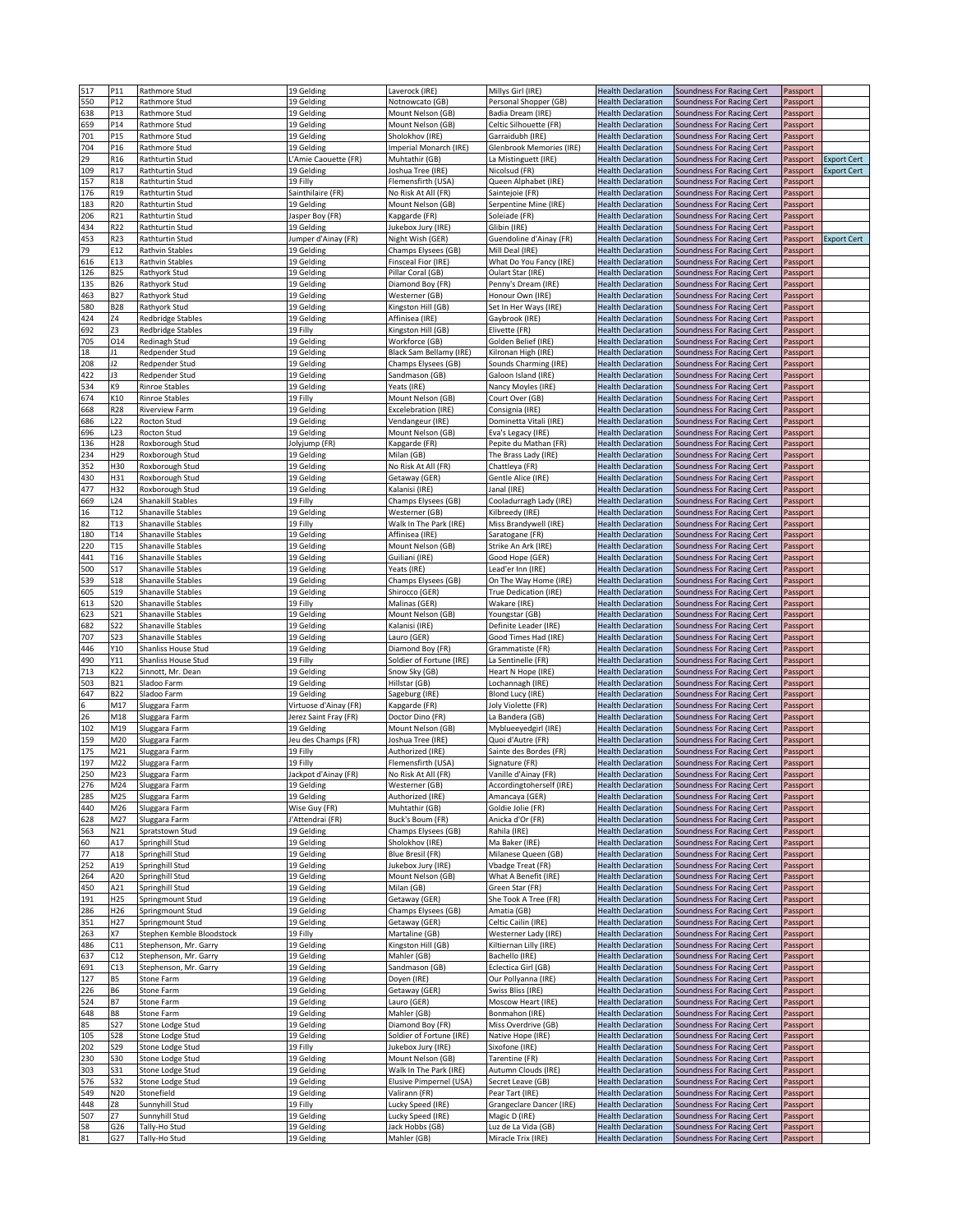| 517      | P11             | Rathmore Stud                  | 19 Gelding               | Laverock (IRE)                 | Millys Girl (IRE)                         | <b>Health Declaration</b>                              | Soundness For Racing Cert                              | Passport             |                    |
|----------|-----------------|--------------------------------|--------------------------|--------------------------------|-------------------------------------------|--------------------------------------------------------|--------------------------------------------------------|----------------------|--------------------|
| 550      | P12             | Rathmore Stud                  | 19 Gelding               | Notnowcato (GB)                | Personal Shopper (GB)                     | <b>Health Declaration</b>                              | Soundness For Racing Cert                              | Passport             |                    |
| 638      | P13             | Rathmore Stud                  | 19 Gelding               | Mount Nelson (GB)              | Badia Dream (IRE)                         | <b>Health Declaration</b>                              | Soundness For Racing Cert                              | Passport             |                    |
| 659      | P14             | Rathmore Stud                  | 19 Gelding               | Mount Nelson (GB)              | Celtic Silhouette (FR)                    | <b>Health Declaration</b>                              | Soundness For Racing Cert                              | Passport             |                    |
| 701      | P15             | Rathmore Stud                  | 19 Gelding               | Sholokhov (IRE)                | Garraidubh (IRE)                          | <b>Health Declaration</b>                              | Soundness For Racing Cert                              | Passport             |                    |
| 704      | P16             | Rathmore Stud                  | 19 Gelding               | mperial Monarch (IRE)          | Glenbrook Memories (IRE)                  | <b>Health Declaration</b>                              | Soundness For Racing Cert                              | Passport             |                    |
| 29       | R <sub>16</sub> | Rathturtin Stud                | L'Amie Caouette (FR)     | Muhtathir (GB)                 |                                           | <b>Health Declaration</b>                              |                                                        |                      | Export Cert        |
|          |                 |                                |                          |                                | La Mistinguett (IRE)                      |                                                        | Soundness For Racing Cert                              | Passport             |                    |
| 109      | R17             | Rathturtin Stud                | 19 Gelding               | Joshua Tree (IRE)              | Nicolsud (FR)                             | <b>Health Declaration</b>                              | Soundness For Racing Cert                              | Passport             | <b>Export Cert</b> |
| 157      | R <sub>18</sub> | Rathturtin Stud                | 19 Filly                 | Flemensfirth (USA)             | Queen Alphabet (IRE)                      | <b>Health Declaration</b>                              | Soundness For Racing Cert                              | Passport             |                    |
| 176      | R19             | Rathturtin Stud                | Sainthilaire (FR)        | No Risk At All (FR)            | Saintejoie (FR)                           | <b>Health Declaration</b>                              | Soundness For Racing Cert                              | Passport             |                    |
| 183      | R20             | Rathturtin Stud                | 19 Gelding               | Mount Nelson (GB)              | Serpentine Mine (IRE)                     | <b>Health Declaration</b>                              | Soundness For Racing Cert                              | Passport             |                    |
| 206      | R21             | Rathturtin Stud                | Jasper Boy (FR)          | Kapgarde (FR)                  | Soleiade (FR)                             | <b>Health Declaration</b>                              | Soundness For Racing Cert                              | Passport             |                    |
|          | R22             |                                |                          |                                |                                           |                                                        |                                                        |                      |                    |
| 434      |                 | Rathturtin Stud                | 19 Gelding               | Jukebox Jury (IRE)             | Glibin (IRE)                              | <b>Health Declaration</b>                              | Soundness For Racing Cert                              | Passport             |                    |
| 453      | R23             | Rathturtin Stud                | Jumper d'Ainay (FR)      | Night Wish (GER)               | Guendoline d'Ainay (FR)                   | <b>Health Declaration</b>                              | Soundness For Racing Cert                              | Passport             | Export Cert        |
| 79       | E12             | Rathvin Stables                | 19 Gelding               | Champs Elysees (GB)            | Mill Deal (IRE)                           | <b>Health Declaration</b>                              | Soundness For Racing Cert                              | Passport             |                    |
| 616      | E13             | Rathvin Stables                | 19 Gelding               | <b>Finsceal Fior (IRE)</b>     | What Do You Fancy (IRE)                   | <b>Health Declaration</b>                              | Soundness For Racing Cert                              | Passport             |                    |
| 126      | <b>B25</b>      | Rathyork Stud                  | 19 Gelding               | Pillar Coral (GB)              | Oulart Star (IRE)                         | <b>Health Declaration</b>                              | Soundness For Racing Cert                              | Passport             |                    |
| 135      | <b>B26</b>      | Rathyork Stud                  | 19 Gelding               | Diamond Boy (FR)               | Penny's Dream (IRE)                       | <b>Health Declaration</b>                              | Soundness For Racing Cert                              | Passport             |                    |
|          | B27             |                                | 19 Gelding               |                                |                                           |                                                        |                                                        |                      |                    |
| 463      |                 | Rathyork Stud                  |                          | Westerner (GB)                 | Honour Own (IRE)                          | <b>Health Declaration</b>                              | Soundness For Racing Cert                              | Passport             |                    |
| 580      | <b>B28</b>      | Rathyork Stud                  | 19 Gelding               | Kingston Hill (GB)             | Set In Her Ways (IRE)                     | <b>Health Declaration</b>                              | Soundness For Racing Cert                              | Passport             |                    |
| 424      | Ζ4              | <b>Redbridge Stables</b>       | 19 Gelding               | Affinisea (IRE)                | Gaybrook (IRE)                            | <b>Health Declaration</b>                              | Soundness For Racing Cert                              | Passport             |                    |
| 692      | Z3              | <b>Redbridge Stables</b>       | 19 Filly                 | Kingston Hill (GB)             | Elivette (FR)                             | <b>Health Declaration</b>                              | Soundness For Racing Cert                              | Passport             |                    |
| 705      | 014             | Redinagh Stud                  | 19 Gelding               | Workforce (GB)                 | Golden Belief (IRE)                       | <b>Health Declaration</b>                              | Soundness For Racing Cert                              | Passport             |                    |
| 18       | 11              | Redpender Stud                 | 19 Gelding               | Black Sam Bellamy (IRE)        | Kilronan High (IRE)                       | <b>Health Declaration</b>                              | Soundness For Racing Cert                              | Passport             |                    |
| 208      | 12              | Redpender Stud                 | 19 Gelding               | Champs Elysees (GB)            | Sounds Charming (IRE)                     | <b>Health Declaration</b>                              |                                                        | Passport             |                    |
|          |                 |                                |                          |                                |                                           |                                                        | Soundness For Racing Cert                              |                      |                    |
| 422      | JЗ              | Redpender Stud                 | 19 Gelding               | Sandmason (GB)                 | Galoon Island (IRE)                       | <b>Health Declaration</b>                              | Soundness For Racing Cert                              | Passport             |                    |
| 534      | K9              | Rinroe Stables                 | 19 Gelding               | Yeats (IRE)                    | Nancy Moyles (IRE)                        | <b>Health Declaration</b>                              | Soundness For Racing Cert                              | Passport             |                    |
| 674      | K10             | Rinroe Stables                 | 19 Filly                 | Mount Nelson (GB)              | Court Over (GB)                           | <b>Health Declaration</b>                              | Soundness For Racing Cert                              | Passport             |                    |
| 668      | R <sub>28</sub> | <b>Riverview Farm</b>          | 19 Gelding               | <b>Excelebration (IRE)</b>     | Consignia (IRE)                           | <b>Health Declaration</b>                              | Soundness For Racing Cert                              | Passport             |                    |
| 686      | L <sub>22</sub> | Rocton Stud                    | 19 Gelding               | Vendangeur (IRE)               | Dominetta Vitali (IRE)                    | <b>Health Declaration</b>                              | Soundness For Racing Cert                              | Passport             |                    |
| 696      | L23             | Rocton Stud                    | 19 Gelding               | Mount Nelson (GB)              | Eva's Legacy (IRE)                        | <b>Health Declaration</b>                              | Soundness For Racing Cert                              | Passport             |                    |
|          |                 |                                |                          |                                |                                           |                                                        |                                                        |                      |                    |
| 136      | H <sub>28</sub> | Roxborough Stud                | Jolyjump (FR)            | Kapgarde (FR)                  | Pepite du Mathan (FR)                     | <b>Health Declaration</b>                              | Soundness For Racing Cert                              | Passport             |                    |
| 234      | H29             | Roxborough Stud                | 19 Gelding               | Milan (GB)                     | The Brass Lady (IRE)                      | <b>Health Declaration</b>                              | Soundness For Racing Cert                              | Passport             |                    |
| 352      | H30             | Roxborough Stud                | 19 Gelding               | No Risk At All (FR)            | Chattleya (FR)                            | <b>Health Declaration</b>                              | Soundness For Racing Cert                              | Passport             |                    |
| 430      | H31             | Roxborough Stud                | 19 Gelding               | Getaway (GER)                  | Gentle Alice (IRE)                        | <b>Health Declaration</b>                              | Soundness For Racing Cert                              | Passport             |                    |
| 477      | H32             | Roxborough Stud                | 19 Gelding               | Kalanisi (IRE)                 | lanal (IRE)                               | <b>Health Declaration</b>                              | Soundness For Racing Cert                              | Passport             |                    |
| 669      | L24             | Shanakill Stables              | 19 Filly                 | Champs Elysees (GB)            | Cooladurragh Lady (IRE)                   | <b>Health Declaration</b>                              |                                                        |                      |                    |
|          |                 |                                |                          |                                |                                           |                                                        | Soundness For Racing Cert                              | Passport             |                    |
| 16       | T12             | Shanaville Stables             | 19 Gelding               | Westerner (GB)                 | Kilbreedy (IRE)                           | <b>Health Declaration</b>                              | Soundness For Racing Cert                              | Passport             |                    |
| 82       | T13             | Shanaville Stables             | 19 Filly                 | Walk In The Park (IRE)         | Miss Brandywell (IRE)                     | <b>Health Declaration</b>                              | Soundness For Racing Cert                              | Passport             |                    |
| 180      | T14             | Shanaville Stables             | 19 Gelding               | Affinisea (IRE)                | Saratogane (FR)                           | <b>Health Declaration</b>                              | Soundness For Racing Cert                              | Passport             |                    |
| 220      | T15             | Shanaville Stables             | 19 Gelding               | Mount Nelson (GB)              | Strike An Ark (IRE)                       | <b>Health Declaration</b>                              | Soundness For Racing Cert                              | Passport             |                    |
| 441      | T16             | Shanaville Stables             | 19 Gelding               | Guiliani (IRE)                 | Good Hope (GER)                           | <b>Health Declaration</b>                              | Soundness For Racing Cert                              | Passport             |                    |
| 500      | S17             | Shanaville Stables             | 19 Gelding               | Yeats (IRE)                    | Lead'er Inn (IRE)                         | <b>Health Declaration</b>                              | Soundness For Racing Cert                              | Passport             |                    |
|          |                 |                                |                          |                                |                                           |                                                        |                                                        |                      |                    |
| 539      | 518             | Shanaville Stables             | 19 Gelding               | Champs Elysees (GB)            | On The Way Home (IRE)                     | <b>Health Declaration</b>                              | Soundness For Racing Cert                              | Passport             |                    |
| 605      | S19             | Shanaville Stables             | 19 Gelding               | Shirocco (GER)                 | True Dedication (IRE)                     | <b>Health Declaration</b>                              | Soundness For Racing Cert                              | Passport             |                    |
| 613      | S20             | Shanaville Stables             | 19 Filly                 | Malinas (GER)                  | Wakare (IRE)                              | <b>Health Declaration</b>                              | Soundness For Racing Cert                              | Passport             |                    |
| 623      | S21             | Shanaville Stables             | 19 Gelding               | Mount Nelson (GB)              | Youngstar (GB)                            | <b>Health Declaration</b>                              | Soundness For Racing Cert                              | Passport             |                    |
| 682      | S22             | Shanaville Stables             | 19 Gelding               | Kalanisi (IRE)                 | Definite Leader (IRE)                     | <b>Health Declaration</b>                              | Soundness For Racing Cert                              | Passport             |                    |
| 707      | S23             | Shanaville Stables             | 19 Gelding               | Lauro (GER)                    | Good Times Had (IRE                       | <b>Health Declaration</b>                              | Soundness For Racing Cert                              | Passport             |                    |
| 446      | Y10             | Shanliss House Stud            | 19 Gelding               | Diamond Boy (FR)               | Grammatiste (FR)                          | <b>Health Declaration</b>                              | Soundness For Racing Cert                              | Passport             |                    |
|          |                 |                                |                          |                                |                                           |                                                        |                                                        |                      |                    |
| 490      | Y11             | Shanliss House Stud            | 19 Filly                 | Soldier of Fortune (IRE)       | La Sentinelle (FR)                        | <b>Health Declaration</b>                              | Soundness For Racing Cert                              | Passport             |                    |
| 713      | K22             | Sinnott, Mr. Dean              | 19 Gelding               | Snow Sky (GB)                  | Heart N Hope (IRE)                        | <b>Health Declaration</b>                              | Soundness For Racing Cert                              | Passport             |                    |
| 503      | <b>B21</b>      | Sladoo Farm                    | 19 Gelding               | Hillstar (GB)                  | Lochannagh (IRE)                          | <b>Health Declaration</b>                              | Soundness For Racing Cert                              | Passport             |                    |
| 647      | B22             | Sladoo Farm                    | 19 Gelding               | Sageburg (IRE)                 | Blond Lucy (IRE)                          | <b>Health Declaration</b>                              | Soundness For Racing Cert                              | Passport             |                    |
|          | M17             | Sluggara Farm                  | Virtuose d'Ainay (FR)    | Kapgarde (FR)                  | Joly Violette (FR)                        | <b>Health Declaration</b>                              | Soundness For Racing Cert                              | Passport             |                    |
| 26       | M18             | Sluggara Farm                  | Jerez Saint Fray (FR)    | Doctor Dino (FR)               | La Bandera (GB)                           | <b>Health Declaration</b>                              | Soundness For Racing Cert                              | Passport             |                    |
| 102      | M19             |                                | 19 Gelding               | Mount Nelson (GB)              | Myblueeyedgirl (IRE)                      | <b>Health Declaration</b>                              |                                                        |                      |                    |
|          |                 | Sluggara Farm                  |                          |                                |                                           |                                                        | Soundness For Racing Cert                              | Passport             |                    |
| 159      | M20             | Sluggara Farm                  | Jeu des Champs (FR)      | Joshua Tree (IRE)              | Quoi d'Autre (FR)                         | <b>Health Declaration</b>                              | Soundness For Racing Cert                              | Passport             |                    |
| 175      | M21             | Sluggara Farm                  | 19 Filly                 | Authorized (IRE)               | Sainte des Bordes (FR)                    | <b>Health Declaration</b>                              | Soundness For Racing Cert                              | Passport             |                    |
| 197      | M22             | Sluggara Farm                  | 19 Filly                 | Flemensfirth (USA)             | Signature (FR)                            | <b>Health Declaration</b>                              | Soundness For Racing Cert                              | Passport             |                    |
| 250      | M23             | Sluggara Farm                  | Jackpot d'Ainay (FR)     | No Risk At All (FR)            | Vanille d'Ainay (FR)                      | <b>Health Declaration</b>                              | Soundness For Racing Cert                              | Passport             |                    |
| 276      | M24             | Sluggara Farm                  | 19 Gelding               | Westerner (GB)                 | Accordingtoherself (IRE)                  | <b>Health Declaration</b>                              | Soundness For Racing Cert                              | Passport             |                    |
| 285      | M25             | Sluggara Farm                  | 19 Gelding               | Authorized (IRE)               | Amancaya (GER)                            | <b>Health Declaration</b>                              | Soundness For Racing Cert                              | Passport             |                    |
| 440      | M26             | Sluggara Farm                  | Wise Guy (FR)            | Muhtathir (GB)                 | Goldie Jolie (FR)                         | <b>Health Declaration</b>                              | Soundness For Racing Cert                              |                      |                    |
|          |                 |                                |                          |                                |                                           |                                                        |                                                        | Passport             |                    |
| 628      | M27             | Sluggara Farm                  | J'Attendrai (FR)         | Buck's Boum (FR)               | Anicka d'Or (FR)                          | <b>Health Declaration</b>                              | Soundness For Racing Cert                              | Passport             |                    |
| 563      | N21             | Spratstown Stud                | 19 Gelding               | Champs Elysees (GB)            | Rahila (IRE)                              | <b>Health Declaration</b>                              | Soundness For Racing Cert                              | Passport             |                    |
| 60       | A17             | Springhill Stud                | 19 Gelding               | Sholokhov (IRE)                | Ma Baker (IRE)                            | <b>Health Declaration</b>                              | Soundness For Racing Cert                              | Passport             |                    |
| 77       | A18             | Springhill Stud                | 19 Gelding               | Blue Bresil (FR)               | Milanese Queen (GB)                       | <b>Health Declaration</b>                              | Soundness For Racing Cert                              | Passport             |                    |
| 252      | A19             | Springhill Stud                | 19 Gelding               | Jukebox Jury (IRE)             | Vbadge Treat (FR)                         | <b>Health Declaration</b>                              | Soundness For Racing Cert                              | Passport             |                    |
| 264      | A20             | Springhill Stud                | 19 Gelding               | Mount Nelson (GB)              | What A Benefit (IRE)                      | <b>Health Declaration</b>                              | Soundness For Racing Cert                              | Passport             |                    |
| 450      | A21             | Springhill Stud                | 19 Gelding               | Milan (GB)                     | Green Star (FR)                           | <b>Health Declaration</b>                              | Soundness For Racing Cert                              | Passport             |                    |
|          |                 |                                |                          |                                |                                           |                                                        |                                                        |                      |                    |
| 191      | H <sub>25</sub> | Springmount Stud               | 19 Gelding               | Getaway (GER)                  | She Took A Tree (FR)                      | <b>Health Declaration</b>                              | Soundness For Racing Cert                              | Passport             |                    |
| 286      | H <sub>26</sub> | Springmount Stud               | 19 Gelding               | Champs Elysees (GB)            | Amatia (GB)                               | <b>Health Declaration</b>                              | Soundness For Racing Cert                              | Passport             |                    |
| 351      | H <sub>27</sub> | Springmount Stud               | 19 Gelding               | Getaway (GER)                  | Celtic Cailin (IRE)                       | <b>Health Declaration</b>                              | Soundness For Racing Cert                              | Passport             |                    |
| 263      | Χ7              | Stephen Kemble Bloodstock      | 19 Filly                 | Martaline (GB)                 | Westerner Lady (IRE)                      | <b>Health Declaration</b>                              | Soundness For Racing Cert                              | Passport             |                    |
| 486      | C11             | Stephenson, Mr. Garry          | 19 Gelding               | Kingston Hill (GB)             | Kiltiernan Lilly (IRE)                    | <b>Health Declaration</b>                              | Soundness For Racing Cert                              | Passport             |                    |
| 637      | C12             | Stephenson, Mr. Garry          | 19 Gelding               | Mahler (GB)                    | Bachello (IRE)                            | <b>Health Declaration</b>                              | Soundness For Racing Cert                              | Passport             |                    |
| 691      | C13             | Stephenson, Mr. Garry          | 19 Gelding               | Sandmason (GB)                 | Eclectica Girl (GB)                       | <b>Health Declaration</b>                              | Soundness For Racing Cert                              | Passport             |                    |
|          |                 |                                |                          |                                |                                           |                                                        |                                                        |                      |                    |
| 127      | <b>B5</b>       | Stone Farm                     | 19 Gelding               | Doyen (IRE)                    | Our Pollyanna (IRE)                       | <b>Health Declaration</b>                              | Soundness For Racing Cert                              | Passport             |                    |
| 226      | <b>B6</b>       | Stone Farm                     | 19 Gelding               | Getaway (GER)                  | Swiss Bliss (IRE)                         | <b>Health Declaration</b>                              | Soundness For Racing Cert                              | Passport             |                    |
| 524      | <b>B7</b>       | Stone Farm                     | 19 Gelding               | Lauro (GER)                    | Moscow Heart (IRE)                        | <b>Health Declaration</b>                              | Soundness For Racing Cert                              | Passport             |                    |
| 648      | B8              | Stone Farm                     | 19 Gelding               | Mahler (GB)                    | Bonmahon (IRE)                            | <b>Health Declaration</b>                              | Soundness For Racing Cert                              | Passport             |                    |
| 85       | S27             | Stone Lodge Stud               | 19 Gelding               | Diamond Boy (FR)               | Miss Overdrive (GB)                       | <b>Health Declaration</b>                              | Soundness For Racing Cert                              | Passport             |                    |
| 105      | S28             | Stone Lodge Stud               | 19 Gelding               | Soldier of Fortune (IRE)       | Native Hope (IRE)                         | <b>Health Declaration</b>                              | Soundness For Racing Cert                              | Passport             |                    |
|          | S29             |                                |                          |                                |                                           |                                                        |                                                        |                      |                    |
| 202      |                 | Stone Lodge Stud               | 19 Filly                 | Jukebox Jury (IRE)             | Sixofone (IRE)                            | <b>Health Declaration</b>                              | Soundness For Racing Cert                              | Passport             |                    |
| 230      | S30             | Stone Lodge Stud               | 19 Gelding               | Mount Nelson (GB)              | Tarentine (FR)                            | <b>Health Declaration</b>                              | Soundness For Racing Cert                              | Passport             |                    |
| 303      | S31             | Stone Lodge Stud               | 19 Gelding               | Walk In The Park (IRE)         | Autumn Clouds (IRE)                       | <b>Health Declaration</b>                              | Soundness For Racing Cert                              | Passport             |                    |
| 576      | S32             | Stone Lodge Stud               | 19 Gelding               | Elusive Pimpernel (USA)        | Secret Leave (GB)                         | <b>Health Declaration</b>                              | Soundness For Racing Cert                              | Passport             |                    |
| 549      | N20             | Stonefield                     | 19 Gelding               | Valirann (FR)                  | Pear Tart (IRE)                           | <b>Health Declaration</b>                              | Soundness For Racing Cert                              | Passport             |                    |
| 448      | Z8              | Sunnyhill Stud                 | 19 Filly                 | Lucky Speed (IRE)              | Grangeclare Dancer (IRE)                  | <b>Health Declaration</b>                              | Soundness For Racing Cert                              | Passport             |                    |
|          |                 |                                |                          |                                |                                           |                                                        | Soundness For Racing Cert                              | Passport             |                    |
|          |                 |                                |                          |                                |                                           |                                                        |                                                        |                      |                    |
| 507      | Ζ7              | Sunnyhill Stud                 | 19 Gelding               | Lucky Speed (IRE)              | Magic D (IRE)                             | <b>Health Declaration</b>                              |                                                        |                      |                    |
| 58<br>81 | G26<br>G27      | Tally-Ho Stud<br>Tally-Ho Stud | 19 Gelding<br>19 Gelding | Jack Hobbs (GB)<br>Mahler (GB) | Luz de La Vida (GB)<br>Miracle Trix (IRE) | <b>Health Declaration</b><br><b>Health Declaration</b> | Soundness For Racing Cert<br>Soundness For Racing Cert | Passport<br>Passport |                    |